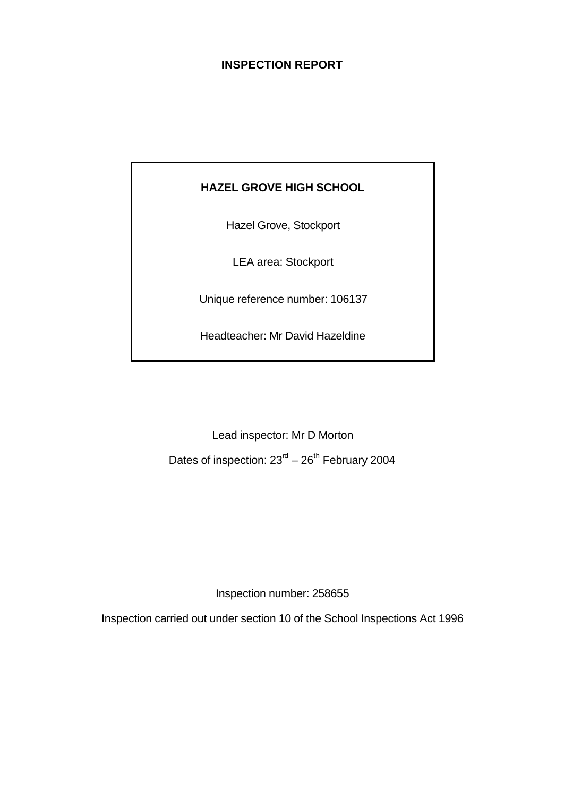# **INSPECTION REPORT**

# **HAZEL GROVE HIGH SCHOOL**

Hazel Grove, Stockport

LEA area: Stockport

Unique reference number: 106137

Headteacher: Mr David Hazeldine

Lead inspector: Mr D Morton

Dates of inspection:  $23<sup>rd</sup> - 26<sup>th</sup>$  February 2004

Inspection number: 258655

Inspection carried out under section 10 of the School Inspections Act 1996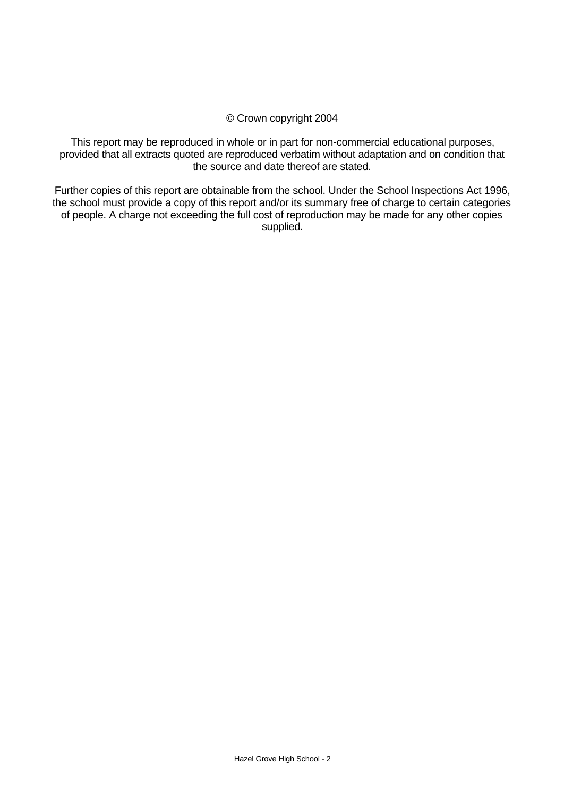#### © Crown copyright 2004

This report may be reproduced in whole or in part for non-commercial educational purposes, provided that all extracts quoted are reproduced verbatim without adaptation and on condition that the source and date thereof are stated.

Further copies of this report are obtainable from the school. Under the School Inspections Act 1996, the school must provide a copy of this report and/or its summary free of charge to certain categories of people. A charge not exceeding the full cost of reproduction may be made for any other copies supplied.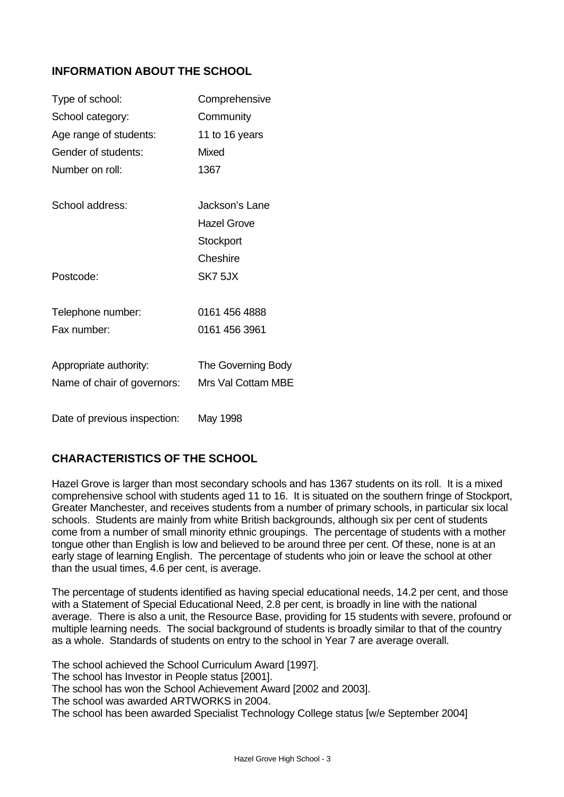# **INFORMATION ABOUT THE SCHOOL**

| Type of school:              | Comprehensive      |
|------------------------------|--------------------|
| School category:             | Community          |
| Age range of students:       | 11 to 16 years     |
| Gender of students:          | Mixed              |
| Number on roll:              | 1367               |
| School address:              | Jackson's Lane     |
|                              | <b>Hazel Grove</b> |
|                              | Stockport          |
|                              | Cheshire           |
| Postcode:                    | SK7 5JX            |
| Telephone number:            | 0161 456 4888      |
| Fax number:                  | 0161 456 3961      |
| Appropriate authority:       | The Governing Body |
| Name of chair of governors:  | Mrs Val Cottam MBE |
| Date of previous inspection: | May 1998           |

# **CHARACTERISTICS OF THE SCHOOL**

Hazel Grove is larger than most secondary schools and has 1367 students on its roll. It is a mixed comprehensive school with students aged 11 to 16. It is situated on the southern fringe of Stockport, Greater Manchester, and receives students from a number of primary schools, in particular six local schools. Students are mainly from white British backgrounds, although six per cent of students come from a number of small minority ethnic groupings. The percentage of students with a mother tongue other than English is low and believed to be around three per cent. Of these, none is at an early stage of learning English. The percentage of students who join or leave the school at other than the usual times, 4.6 per cent, is average.

The percentage of students identified as having special educational needs, 14.2 per cent, and those with a Statement of Special Educational Need, 2.8 per cent, is broadly in line with the national average. There is also a unit, the Resource Base, providing for 15 students with severe, profound or multiple learning needs. The social background of students is broadly similar to that of the country as a whole. Standards of students on entry to the school in Year 7 are average overall.

The school achieved the School Curriculum Award [1997]. The school has Investor in People status [2001]. The school has won the School Achievement Award [2002 and 2003]. The school was awarded ARTWORKS in 2004. The school has been awarded Specialist Technology College status [w/e September 2004]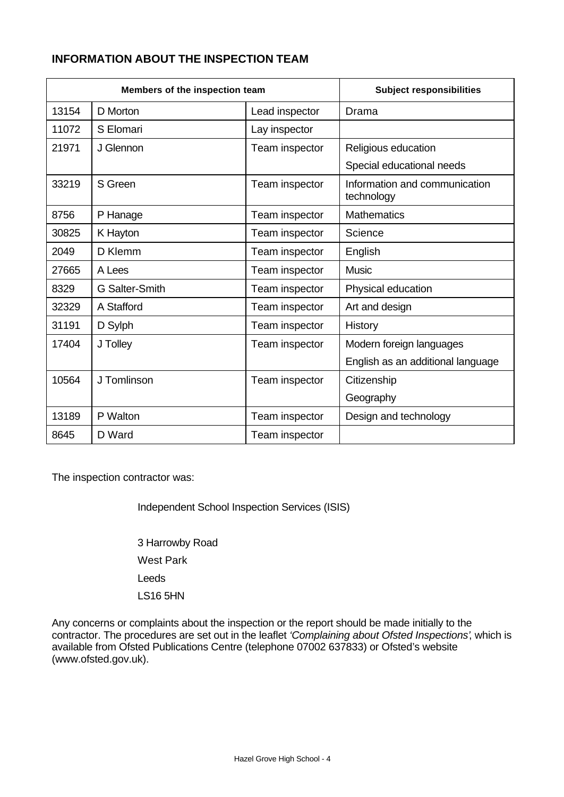# **INFORMATION ABOUT THE INSPECTION TEAM**

|       | Members of the inspection team | <b>Subject responsibilities</b> |                                             |
|-------|--------------------------------|---------------------------------|---------------------------------------------|
| 13154 | D Morton                       | Lead inspector                  | Drama                                       |
| 11072 | S Elomari                      | Lay inspector                   |                                             |
| 21971 | J Glennon                      | Team inspector                  | Religious education                         |
|       |                                |                                 | Special educational needs                   |
| 33219 | S Green                        | Team inspector                  | Information and communication<br>technology |
| 8756  | P Hanage                       | Team inspector                  | <b>Mathematics</b>                          |
| 30825 | K Hayton                       | Team inspector                  | Science                                     |
| 2049  | D Klemm                        | Team inspector                  | English                                     |
| 27665 | A Lees                         | Team inspector                  | <b>Music</b>                                |
| 8329  | G Salter-Smith                 | Team inspector                  | Physical education                          |
| 32329 | A Stafford                     | Team inspector                  | Art and design                              |
| 31191 | D Sylph                        | Team inspector                  | History                                     |
| 17404 | J Tolley                       | Team inspector                  | Modern foreign languages                    |
|       |                                |                                 | English as an additional language           |
| 10564 | J Tomlinson                    | Team inspector                  | Citizenship                                 |
|       |                                |                                 | Geography                                   |
| 13189 | P Walton                       | Team inspector                  | Design and technology                       |
| 8645  | D Ward                         | Team inspector                  |                                             |

The inspection contractor was:

Independent School Inspection Services (ISIS)

3 Harrowby Road West Park Leeds LS16 5HN

Any concerns or complaints about the inspection or the report should be made initially to the contractor. The procedures are set out in the leaflet *'Complaining about Ofsted Inspections'*, which is available from Ofsted Publications Centre (telephone 07002 637833) or Ofsted's website (www.ofsted.gov.uk).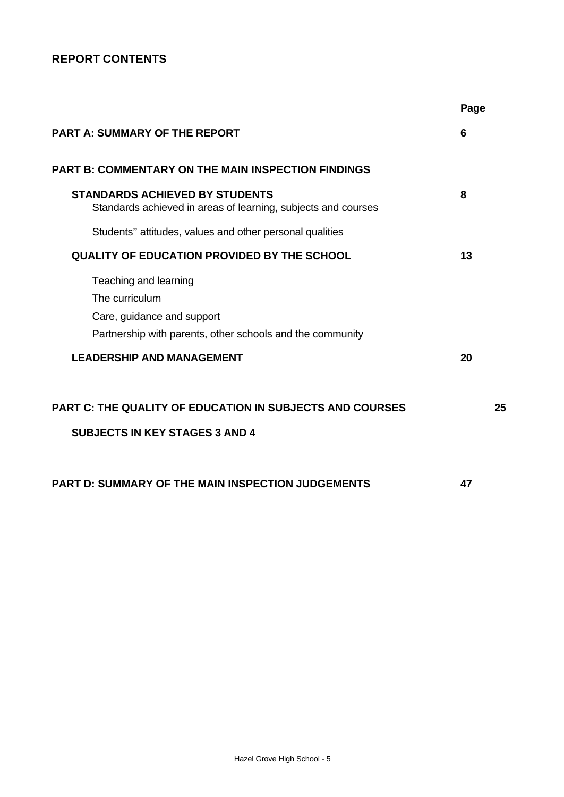# **REPORT CONTENTS**

|                                                                                                        | Page |
|--------------------------------------------------------------------------------------------------------|------|
| <b>PART A: SUMMARY OF THE REPORT</b>                                                                   | 6    |
| <b>PART B: COMMENTARY ON THE MAIN INSPECTION FINDINGS</b>                                              |      |
| <b>STANDARDS ACHIEVED BY STUDENTS</b><br>Standards achieved in areas of learning, subjects and courses | 8    |
| Students" attitudes, values and other personal qualities                                               |      |
| <b>QUALITY OF EDUCATION PROVIDED BY THE SCHOOL</b>                                                     | 13   |
| Teaching and learning                                                                                  |      |
| The curriculum                                                                                         |      |
| Care, guidance and support                                                                             |      |
| Partnership with parents, other schools and the community                                              |      |
| <b>LEADERSHIP AND MANAGEMENT</b>                                                                       | 20   |
| <b>PART C: THE QUALITY OF EDUCATION IN SUBJECTS AND COURSES</b>                                        | 25   |
| <b>SUBJECTS IN KEY STAGES 3 AND 4</b>                                                                  |      |
| <b>PART D: SUMMARY OF THE MAIN INSPECTION JUDGEMENTS</b>                                               | 47   |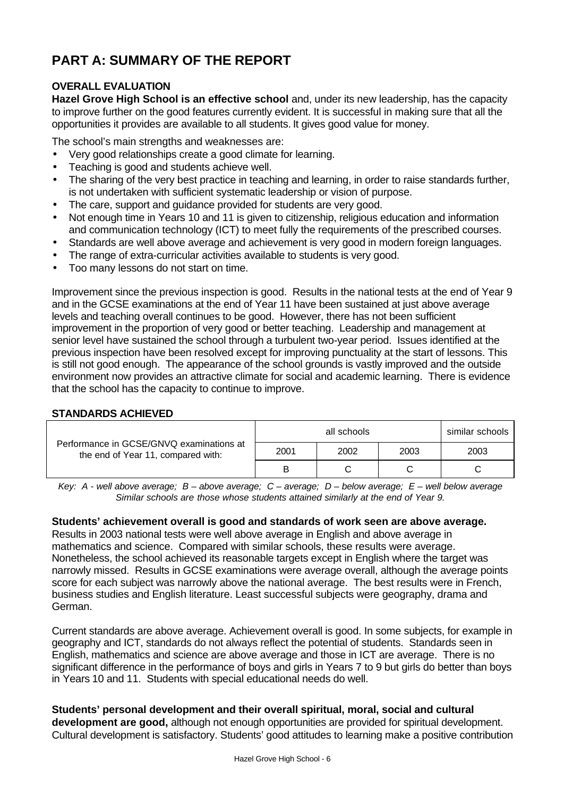# **PART A: SUMMARY OF THE REPORT**

# **OVERALL EVALUATION**

**Hazel Grove High School is an effective school** and, under its new leadership, has the capacity to improve further on the good features currently evident. It is successful in making sure that all the opportunities it provides are available to all students. It gives good value for money.

The school's main strengths and weaknesses are:

- Very good relationships create a good climate for learning.
- Teaching is good and students achieve well.
- The sharing of the very best practice in teaching and learning, in order to raise standards further, is not undertaken with sufficient systematic leadership or vision of purpose.
- The care, support and quidance provided for students are very good.
- Not enough time in Years 10 and 11 is given to citizenship, religious education and information and communication technology (ICT) to meet fully the requirements of the prescribed courses.
- Standards are well above average and achievement is very good in modern foreign languages.
- The range of extra-curricular activities available to students is very good.
- Too many lessons do not start on time.

Improvement since the previous inspection is good. Results in the national tests at the end of Year 9 and in the GCSE examinations at the end of Year 11 have been sustained at just above average levels and teaching overall continues to be good. However, there has not been sufficient improvement in the proportion of very good or better teaching. Leadership and management at senior level have sustained the school through a turbulent two-year period. Issues identified at the previous inspection have been resolved except for improving punctuality at the start of lessons. This is still not good enough. The appearance of the school grounds is vastly improved and the outside environment now provides an attractive climate for social and academic learning. There is evidence that the school has the capacity to continue to improve.

#### **STANDARDS ACHIEVED**

| Performance in GCSE/GNVQ examinations at<br>the end of Year 11, compared with: | similar schools<br>all schools |      |      |      |
|--------------------------------------------------------------------------------|--------------------------------|------|------|------|
|                                                                                | 2001                           | 2002 | 2003 | 2003 |
|                                                                                | в                              |      |      |      |

*Key: A - well above average; B – above average; C – average; D – below average; E – well below average Similar schools are those whose students attained similarly at the end of Year 9.*

#### **Students' achievement overall is good and standards of work seen are above average.**

Results in 2003 national tests were well above average in English and above average in mathematics and science. Compared with similar schools, these results were average. Nonetheless, the school achieved its reasonable targets except in English where the target was narrowly missed. Results in GCSE examinations were average overall, although the average points score for each subject was narrowly above the national average. The best results were in French, business studies and English literature. Least successful subjects were geography, drama and German.

Current standards are above average. Achievement overall is good. In some subjects, for example in geography and ICT, standards do not always reflect the potential of students. Standards seen in English, mathematics and science are above average and those in ICT are average. There is no significant difference in the performance of boys and girls in Years 7 to 9 but girls do better than boys in Years 10 and 11. Students with special educational needs do well.

**Students' personal development and their overall spiritual, moral, social and cultural development are good,** although not enough opportunities are provided for spiritual development. Cultural development is satisfactory. Students' good attitudes to learning make a positive contribution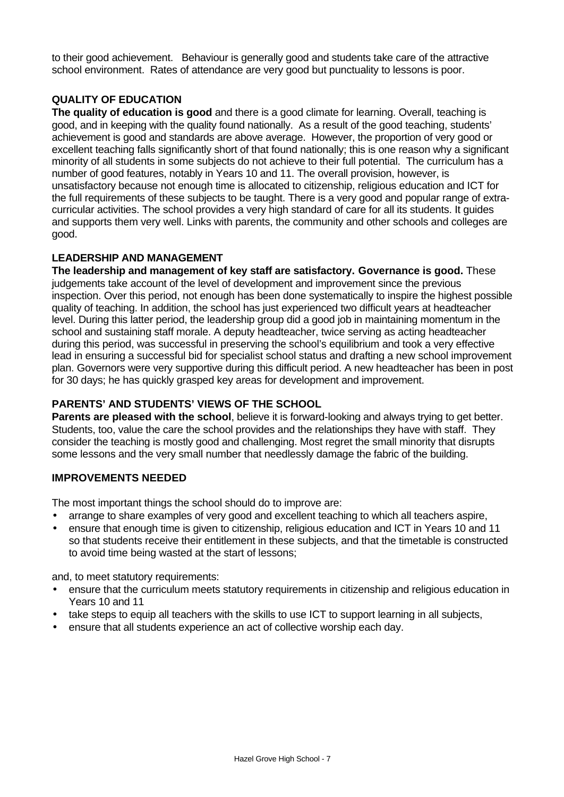to their good achievement. Behaviour is generally good and students take care of the attractive school environment. Rates of attendance are very good but punctuality to lessons is poor.

# **QUALITY OF EDUCATION**

**The quality of education is good** and there is a good climate for learning. Overall, teaching is good, and in keeping with the quality found nationally. As a result of the good teaching, students' achievement is good and standards are above average. However, the proportion of very good or excellent teaching falls significantly short of that found nationally; this is one reason why a significant minority of all students in some subjects do not achieve to their full potential. The curriculum has a number of good features, notably in Years 10 and 11. The overall provision, however, is unsatisfactory because not enough time is allocated to citizenship, religious education and ICT for the full requirements of these subjects to be taught. There is a very good and popular range of extracurricular activities. The school provides a very high standard of care for all its students. It guides and supports them very well. Links with parents, the community and other schools and colleges are good.

### **LEADERSHIP AND MANAGEMENT**

**The leadership and management of key staff are satisfactory. Governance is good.** These judgements take account of the level of development and improvement since the previous inspection. Over this period, not enough has been done systematically to inspire the highest possible quality of teaching. In addition, the school has just experienced two difficult years at headteacher level. During this latter period, the leadership group did a good job in maintaining momentum in the school and sustaining staff morale. A deputy headteacher, twice serving as acting headteacher during this period, was successful in preserving the school's equilibrium and took a very effective lead in ensuring a successful bid for specialist school status and drafting a new school improvement plan. Governors were very supportive during this difficult period. A new headteacher has been in post for 30 days; he has quickly grasped key areas for development and improvement.

## **PARENTS' AND STUDENTS' VIEWS OF THE SCHOOL**

**Parents are pleased with the school**, believe it is forward-looking and always trying to get better. Students, too, value the care the school provides and the relationships they have with staff. They consider the teaching is mostly good and challenging. Most regret the small minority that disrupts some lessons and the very small number that needlessly damage the fabric of the building.

#### **IMPROVEMENTS NEEDED**

The most important things the school should do to improve are:

- arrange to share examples of very good and excellent teaching to which all teachers aspire,
- ensure that enough time is given to citizenship, religious education and ICT in Years 10 and 11 so that students receive their entitlement in these subjects, and that the timetable is constructed to avoid time being wasted at the start of lessons;

and, to meet statutory requirements:

- ensure that the curriculum meets statutory requirements in citizenship and religious education in Years 10 and 11
- take steps to equip all teachers with the skills to use ICT to support learning in all subjects,
- ensure that all students experience an act of collective worship each day.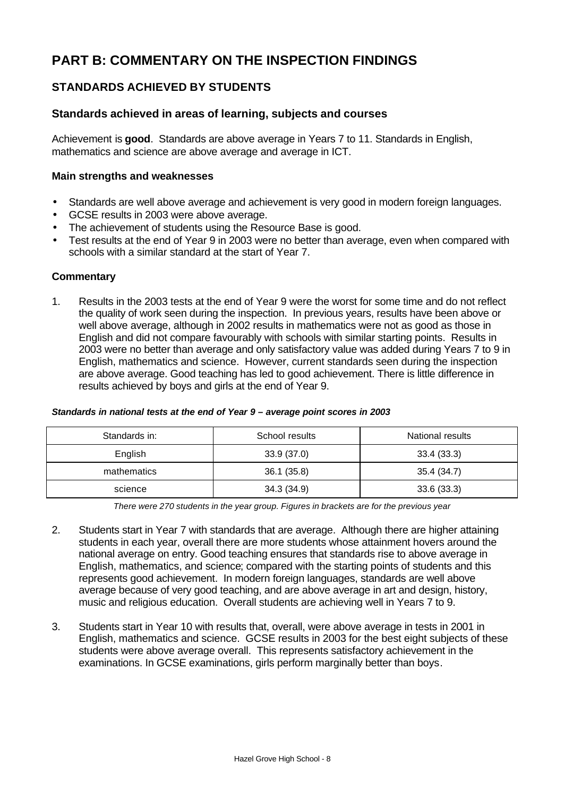# **PART B: COMMENTARY ON THE INSPECTION FINDINGS**

# **STANDARDS ACHIEVED BY STUDENTS**

# **Standards achieved in areas of learning, subjects and courses**

Achievement is **good**. Standards are above average in Years 7 to 11. Standards in English, mathematics and science are above average and average in ICT.

#### **Main strengths and weaknesses**

- Standards are well above average and achievement is very good in modern foreign languages.
- GCSE results in 2003 were above average.
- The achievement of students using the Resource Base is good.
- Test results at the end of Year 9 in 2003 were no better than average, even when compared with schools with a similar standard at the start of Year 7.

#### **Commentary**

1. Results in the 2003 tests at the end of Year 9 were the worst for some time and do not reflect the quality of work seen during the inspection. In previous years, results have been above or well above average, although in 2002 results in mathematics were not as good as those in English and did not compare favourably with schools with similar starting points. Results in 2003 were no better than average and only satisfactory value was added during Years 7 to 9 in English, mathematics and science. However, current standards seen during the inspection are above average. Good teaching has led to good achievement. There is little difference in results achieved by boys and girls at the end of Year 9.

#### *Standards in national tests at the end of Year 9 – average point scores in 2003*

| Standards in: | School results | National results |
|---------------|----------------|------------------|
| English       | 33.9(37.0)     | 33.4(33.3)       |
| mathematics   | 36.1(35.8)     | 35.4 (34.7)      |
| science       | 34.3(34.9)     | 33.6(33.3)       |

*There were 270 students in the year group. Figures in brackets are for the previous year*

- 2. Students start in Year 7 with standards that are average. Although there are higher attaining students in each year, overall there are more students whose attainment hovers around the national average on entry. Good teaching ensures that standards rise to above average in English, mathematics, and science; compared with the starting points of students and this represents good achievement. In modern foreign languages, standards are well above average because of very good teaching, and are above average in art and design, history, music and religious education. Overall students are achieving well in Years 7 to 9.
- 3. Students start in Year 10 with results that, overall, were above average in tests in 2001 in English, mathematics and science. GCSE results in 2003 for the best eight subjects of these students were above average overall. This represents satisfactory achievement in the examinations. In GCSE examinations, girls perform marginally better than boys.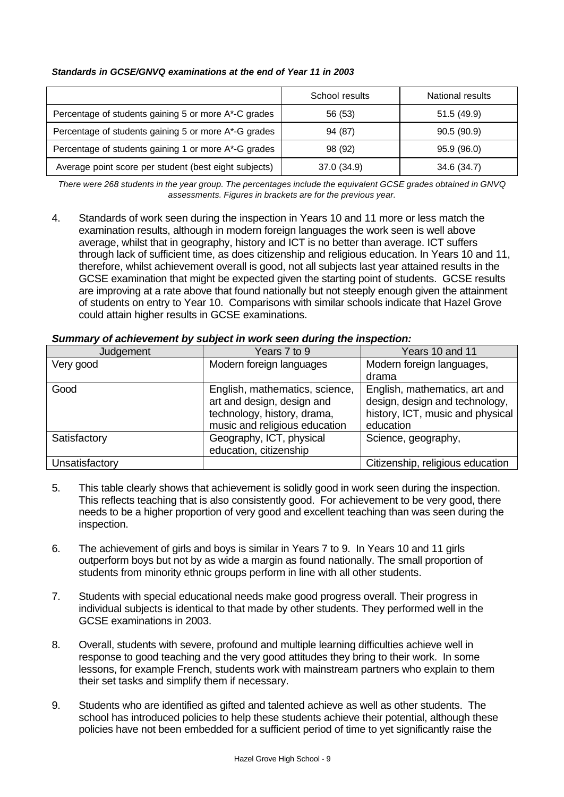#### *Standards in GCSE/GNVQ examinations at the end of Year 11 in 2003*

|                                                       | School results | National results |
|-------------------------------------------------------|----------------|------------------|
| Percentage of students gaining 5 or more A*-C grades  | 56 (53)        | 51.5(49.9)       |
| Percentage of students gaining 5 or more A*-G grades  | 94 (87)        | 90.5(90.9)       |
| Percentage of students gaining 1 or more A*-G grades  | 98 (92)        | 95.9 (96.0)      |
| Average point score per student (best eight subjects) | 37.0 (34.9)    | 34.6 (34.7)      |

*There were 268 students in the year group. The percentages include the equivalent GCSE grades obtained in GNVQ assessments. Figures in brackets are for the previous year.*

4. Standards of work seen during the inspection in Years 10 and 11 more or less match the examination results, although in modern foreign languages the work seen is well above average, whilst that in geography, history and ICT is no better than average. ICT suffers through lack of sufficient time, as does citizenship and religious education. In Years 10 and 11, therefore, whilst achievement overall is good, not all subjects last year attained results in the GCSE examination that might be expected given the starting point of students. GCSE results are improving at a rate above that found nationally but not steeply enough given the attainment of students on entry to Year 10. Comparisons with similar schools indicate that Hazel Grove could attain higher results in GCSE examinations.

| Judgement      | Years 7 to 9                                                                                                                 | Years 10 and 11                                                                                                  |
|----------------|------------------------------------------------------------------------------------------------------------------------------|------------------------------------------------------------------------------------------------------------------|
| Very good      | Modern foreign languages                                                                                                     | Modern foreign languages,                                                                                        |
|                |                                                                                                                              | drama                                                                                                            |
| Good           | English, mathematics, science,<br>art and design, design and<br>technology, history, drama,<br>music and religious education | English, mathematics, art and<br>design, design and technology,<br>history, ICT, music and physical<br>education |
| Satisfactory   | Geography, ICT, physical<br>education, citizenship                                                                           | Science, geography,                                                                                              |
| Unsatisfactory |                                                                                                                              | Citizenship, religious education                                                                                 |

#### *Summary of achievement by subject in work seen during the inspection:*

- 5. This table clearly shows that achievement is solidly good in work seen during the inspection. This reflects teaching that is also consistently good. For achievement to be very good, there needs to be a higher proportion of very good and excellent teaching than was seen during the inspection.
- 6. The achievement of girls and boys is similar in Years 7 to 9. In Years 10 and 11 girls outperform boys but not by as wide a margin as found nationally. The small proportion of students from minority ethnic groups perform in line with all other students.
- 7. Students with special educational needs make good progress overall. Their progress in individual subjects is identical to that made by other students. They performed well in the GCSE examinations in 2003.
- 8. Overall, students with severe, profound and multiple learning difficulties achieve well in response to good teaching and the very good attitudes they bring to their work. In some lessons, for example French, students work with mainstream partners who explain to them their set tasks and simplify them if necessary.
- 9. Students who are identified as gifted and talented achieve as well as other students. The school has introduced policies to help these students achieve their potential, although these policies have not been embedded for a sufficient period of time to yet significantly raise the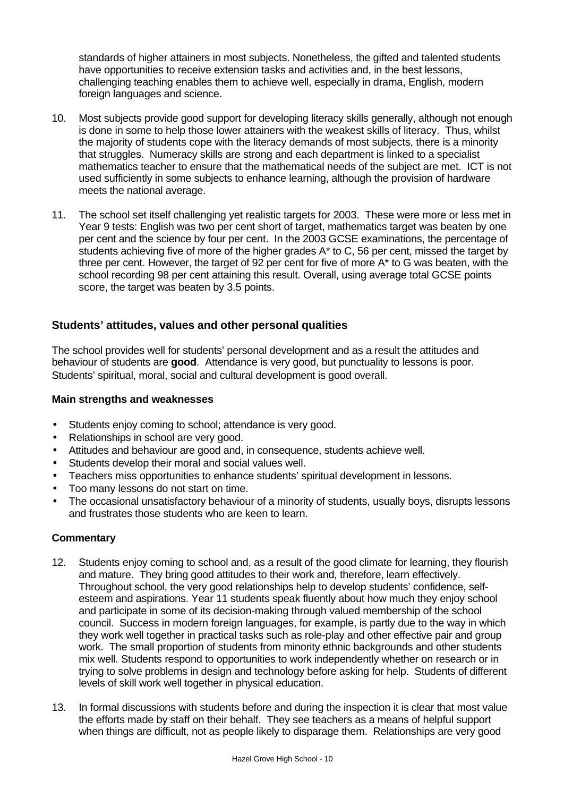standards of higher attainers in most subjects. Nonetheless, the gifted and talented students have opportunities to receive extension tasks and activities and, in the best lessons, challenging teaching enables them to achieve well, especially in drama, English, modern foreign languages and science.

- 10. Most subjects provide good support for developing literacy skills generally, although not enough is done in some to help those lower attainers with the weakest skills of literacy. Thus, whilst the majority of students cope with the literacy demands of most subjects, there is a minority that struggles. Numeracy skills are strong and each department is linked to a specialist mathematics teacher to ensure that the mathematical needs of the subject are met. ICT is not used sufficiently in some subjects to enhance learning, although the provision of hardware meets the national average.
- 11. The school set itself challenging yet realistic targets for 2003. These were more or less met in Year 9 tests: English was two per cent short of target, mathematics target was beaten by one per cent and the science by four per cent. In the 2003 GCSE examinations, the percentage of students achieving five of more of the higher grades A\* to C, 56 per cent, missed the target by three per cent. However, the target of 92 per cent for five of more A\* to G was beaten, with the school recording 98 per cent attaining this result. Overall, using average total GCSE points score, the target was beaten by 3.5 points.

# **Students' attitudes, values and other personal qualities**

The school provides well for students' personal development and as a result the attitudes and behaviour of students are **good**. Attendance is very good, but punctuality to lessons is poor. Students' spiritual, moral, social and cultural development is good overall.

#### **Main strengths and weaknesses**

- Students enjoy coming to school; attendance is very good.
- Relationships in school are very good.
- Attitudes and behaviour are good and, in consequence, students achieve well.
- Students develop their moral and social values well.
- Teachers miss opportunities to enhance students' spiritual development in lessons.
- Too many lessons do not start on time.
- The occasional unsatisfactory behaviour of a minority of students, usually boys, disrupts lessons and frustrates those students who are keen to learn.

- 12. Students enjoy coming to school and, as a result of the good climate for learning, they flourish and mature. They bring good attitudes to their work and, therefore, learn effectively. Throughout school, the very good relationships help to develop students' confidence, selfesteem and aspirations. Year 11 students speak fluently about how much they enjoy school and participate in some of its decision-making through valued membership of the school council. Success in modern foreign languages, for example, is partly due to the way in which they work well together in practical tasks such as role-play and other effective pair and group work. The small proportion of students from minority ethnic backgrounds and other students mix well. Students respond to opportunities to work independently whether on research or in trying to solve problems in design and technology before asking for help. Students of different levels of skill work well together in physical education.
- 13. In formal discussions with students before and during the inspection it is clear that most value the efforts made by staff on their behalf. They see teachers as a means of helpful support when things are difficult, not as people likely to disparage them. Relationships are very good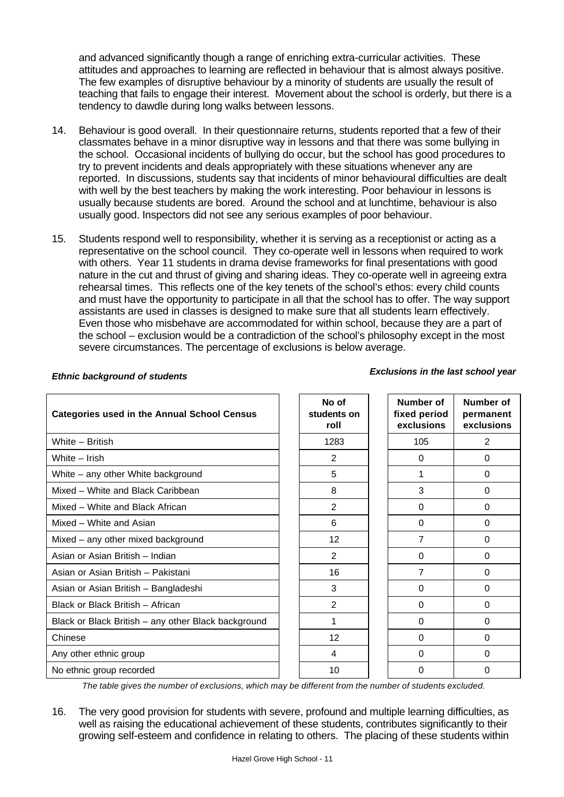and advanced significantly though a range of enriching extra-curricular activities. These attitudes and approaches to learning are reflected in behaviour that is almost always positive. The few examples of disruptive behaviour by a minority of students are usually the result of teaching that fails to engage their interest. Movement about the school is orderly, but there is a tendency to dawdle during long walks between lessons.

- 14. Behaviour is good overall. In their questionnaire returns, students reported that a few of their classmates behave in a minor disruptive way in lessons and that there was some bullying in the school. Occasional incidents of bullying do occur, but the school has good procedures to try to prevent incidents and deals appropriately with these situations whenever any are reported. In discussions, students say that incidents of minor behavioural difficulties are dealt with well by the best teachers by making the work interesting. Poor behaviour in lessons is usually because students are bored. Around the school and at lunchtime, behaviour is also usually good. Inspectors did not see any serious examples of poor behaviour.
- 15. Students respond well to responsibility, whether it is serving as a receptionist or acting as a representative on the school council. They co-operate well in lessons when required to work with others. Year 11 students in drama devise frameworks for final presentations with good nature in the cut and thrust of giving and sharing ideas. They co-operate well in agreeing extra rehearsal times. This reflects one of the key tenets of the school's ethos: every child counts and must have the opportunity to participate in all that the school has to offer. The way support assistants are used in classes is designed to make sure that all students learn effectively. Even those who misbehave are accommodated for within school, because they are a part of the school – exclusion would be a contradiction of the school's philosophy except in the most severe circumstances. The percentage of exclusions is below average.

# *Ethnic background of students Exclusions in the last school year*

| <b>Categories used in the Annual School Census</b>  | No of<br>students on<br>roll | <b>Number of</b><br>fixed period<br>exclusions | <b>Number of</b><br>permanent<br>exclusions |
|-----------------------------------------------------|------------------------------|------------------------------------------------|---------------------------------------------|
| White - British                                     | 1283                         | 105                                            | $\overline{2}$                              |
| White - Irish                                       | 2                            | $\Omega$                                       | $\Omega$                                    |
| White – any other White background                  | 5                            |                                                | 0                                           |
| Mixed - White and Black Caribbean                   | 8                            | 3                                              | 0                                           |
| Mixed - White and Black African                     | $\overline{2}$               | $\Omega$                                       | $\Omega$                                    |
| Mixed - White and Asian                             | 6                            | $\Omega$                                       | $\Omega$                                    |
| Mixed - any other mixed background                  | 12 <sub>2</sub>              | $\overline{7}$                                 | $\Omega$                                    |
| Asian or Asian British - Indian                     | $\overline{2}$               | $\Omega$                                       | $\Omega$                                    |
| Asian or Asian British - Pakistani                  | 16                           | 7                                              | $\Omega$                                    |
| Asian or Asian British - Bangladeshi                | 3                            | 0                                              | $\Omega$                                    |
| Black or Black British - African                    | 2                            | 0                                              | 0                                           |
| Black or Black British - any other Black background | 1                            | 0                                              | 0                                           |
| Chinese                                             | 12 <sup>2</sup>              | $\Omega$                                       | 0                                           |
| Any other ethnic group                              | 4                            | $\Omega$                                       | $\Omega$                                    |
| No ethnic group recorded                            | 10                           | 0                                              | 0                                           |

*The table gives the number of exclusions, which may be different from the number of students excluded.*

16. The very good provision for students with severe, profound and multiple learning difficulties, as well as raising the educational achievement of these students, contributes significantly to their growing self-esteem and confidence in relating to others. The placing of these students within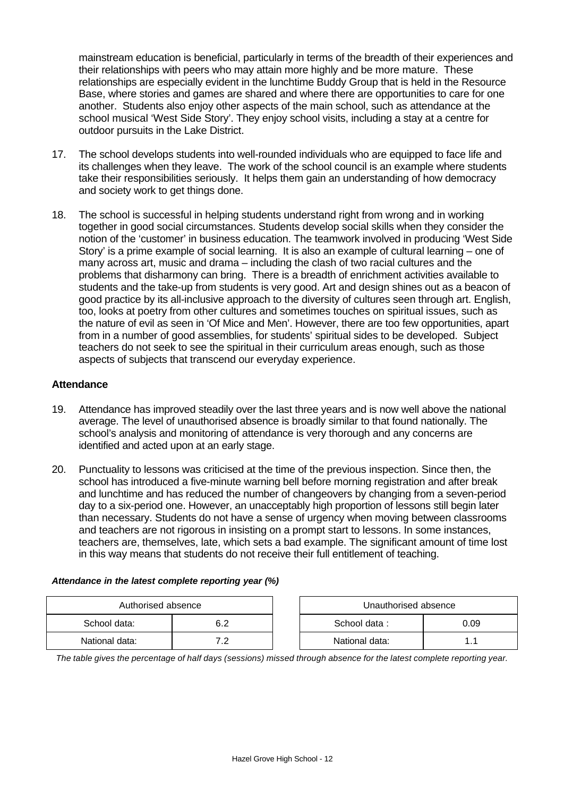mainstream education is beneficial, particularly in terms of the breadth of their experiences and their relationships with peers who may attain more highly and be more mature. These relationships are especially evident in the lunchtime Buddy Group that is held in the Resource Base, where stories and games are shared and where there are opportunities to care for one another. Students also enjoy other aspects of the main school, such as attendance at the school musical 'West Side Story'. They enjoy school visits, including a stay at a centre for outdoor pursuits in the Lake District.

- 17. The school develops students into well-rounded individuals who are equipped to face life and its challenges when they leave. The work of the school council is an example where students take their responsibilities seriously. It helps them gain an understanding of how democracy and society work to get things done.
- 18. The school is successful in helping students understand right from wrong and in working together in good social circumstances. Students develop social skills when they consider the notion of the 'customer' in business education. The teamwork involved in producing 'West Side Story' is a prime example of social learning. It is also an example of cultural learning – one of many across art, music and drama – including the clash of two racial cultures and the problems that disharmony can bring. There is a breadth of enrichment activities available to students and the take-up from students is very good. Art and design shines out as a beacon of good practice by its all-inclusive approach to the diversity of cultures seen through art. English, too, looks at poetry from other cultures and sometimes touches on spiritual issues, such as the nature of evil as seen in 'Of Mice and Men'. However, there are too few opportunities, apart from in a number of good assemblies, for students' spiritual sides to be developed. Subject teachers do not seek to see the spiritual in their curriculum areas enough, such as those aspects of subjects that transcend our everyday experience.

#### **Attendance**

- 19. Attendance has improved steadily over the last three years and is now well above the national average. The level of unauthorised absence is broadly similar to that found nationally. The school's analysis and monitoring of attendance is very thorough and any concerns are identified and acted upon at an early stage.
- 20. Punctuality to lessons was criticised at the time of the previous inspection. Since then, the school has introduced a five-minute warning bell before morning registration and after break and lunchtime and has reduced the number of changeovers by changing from a seven-period day to a six-period one. However, an unacceptably high proportion of lessons still begin later than necessary. Students do not have a sense of urgency when moving between classrooms and teachers are not rigorous in insisting on a prompt start to lessons. In some instances, teachers are, themselves, late, which sets a bad example. The significant amount of time lost in this way means that students do not receive their full entitlement of teaching.

| Attendance in the latest complete reporting year (%) |  |  |  |  |  |  |  |
|------------------------------------------------------|--|--|--|--|--|--|--|
|------------------------------------------------------|--|--|--|--|--|--|--|

| Authorised absence |     |  | Unauthorised absence |  |
|--------------------|-----|--|----------------------|--|
| School data:       |     |  | School data:<br>0.09 |  |
| National data:     | . . |  | National data:       |  |

*The table gives the percentage of half days (sessions) missed through absence for the latest complete reporting year.*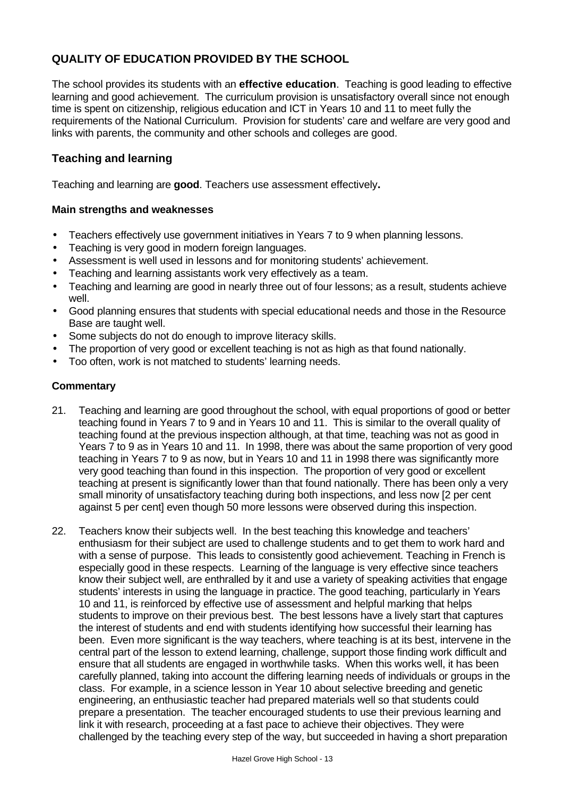# **QUALITY OF EDUCATION PROVIDED BY THE SCHOOL**

The school provides its students with an **effective education**. Teaching is good leading to effective learning and good achievement. The curriculum provision is unsatisfactory overall since not enough time is spent on citizenship, religious education and ICT in Years 10 and 11 to meet fully the requirements of the National Curriculum. Provision for students' care and welfare are very good and links with parents, the community and other schools and colleges are good.

# **Teaching and learning**

Teaching and learning are **good**. Teachers use assessment effectively**.**

#### **Main strengths and weaknesses**

- Teachers effectively use government initiatives in Years 7 to 9 when planning lessons.
- Teaching is very good in modern foreign languages.
- Assessment is well used in lessons and for monitoring students' achievement.
- Teaching and learning assistants work very effectively as a team.
- Teaching and learning are good in nearly three out of four lessons; as a result, students achieve well.
- Good planning ensures that students with special educational needs and those in the Resource Base are taught well.
- Some subjects do not do enough to improve literacy skills.
- The proportion of very good or excellent teaching is not as high as that found nationally.
- Too often, work is not matched to students' learning needs.

- 21. Teaching and learning are good throughout the school, with equal proportions of good or better teaching found in Years 7 to 9 and in Years 10 and 11. This is similar to the overall quality of teaching found at the previous inspection although, at that time, teaching was not as good in Years 7 to 9 as in Years 10 and 11. In 1998, there was about the same proportion of very good teaching in Years 7 to 9 as now, but in Years 10 and 11 in 1998 there was significantly more very good teaching than found in this inspection. The proportion of very good or excellent teaching at present is significantly lower than that found nationally. There has been only a very small minority of unsatisfactory teaching during both inspections, and less now [2 per cent against 5 per cent] even though 50 more lessons were observed during this inspection.
- 22. Teachers know their subjects well. In the best teaching this knowledge and teachers' enthusiasm for their subject are used to challenge students and to get them to work hard and with a sense of purpose. This leads to consistently good achievement. Teaching in French is especially good in these respects. Learning of the language is very effective since teachers know their subject well, are enthralled by it and use a variety of speaking activities that engage students' interests in using the language in practice. The good teaching, particularly in Years 10 and 11, is reinforced by effective use of assessment and helpful marking that helps students to improve on their previous best. The best lessons have a lively start that captures the interest of students and end with students identifying how successful their learning has been. Even more significant is the way teachers, where teaching is at its best, intervene in the central part of the lesson to extend learning, challenge, support those finding work difficult and ensure that all students are engaged in worthwhile tasks. When this works well, it has been carefully planned, taking into account the differing learning needs of individuals or groups in the class. For example, in a science lesson in Year 10 about selective breeding and genetic engineering, an enthusiastic teacher had prepared materials well so that students could prepare a presentation. The teacher encouraged students to use their previous learning and link it with research, proceeding at a fast pace to achieve their objectives. They were challenged by the teaching every step of the way, but succeeded in having a short preparation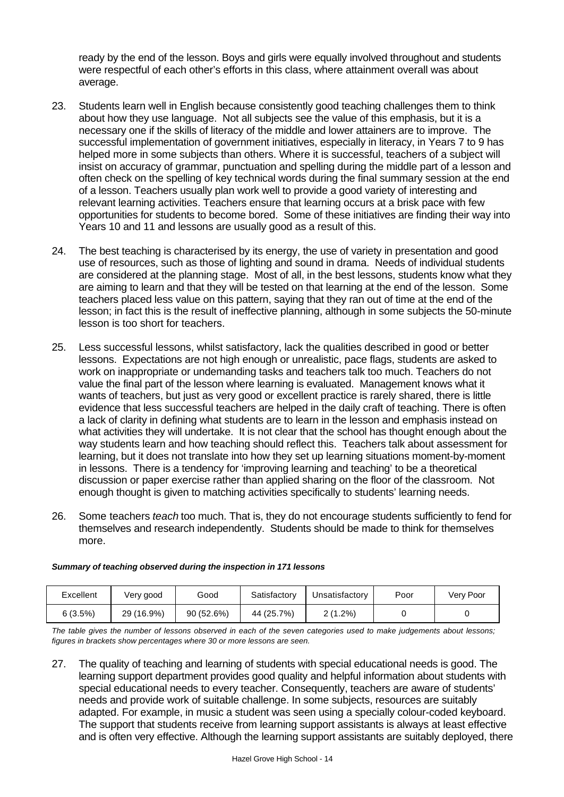ready by the end of the lesson. Boys and girls were equally involved throughout and students were respectful of each other's efforts in this class, where attainment overall was about average.

- 23. Students learn well in English because consistently good teaching challenges them to think about how they use language. Not all subjects see the value of this emphasis, but it is a necessary one if the skills of literacy of the middle and lower attainers are to improve. The successful implementation of government initiatives, especially in literacy, in Years 7 to 9 has helped more in some subjects than others. Where it is successful, teachers of a subject will insist on accuracy of grammar, punctuation and spelling during the middle part of a lesson and often check on the spelling of key technical words during the final summary session at the end of a lesson. Teachers usually plan work well to provide a good variety of interesting and relevant learning activities. Teachers ensure that learning occurs at a brisk pace with few opportunities for students to become bored. Some of these initiatives are finding their way into Years 10 and 11 and lessons are usually good as a result of this.
- 24. The best teaching is characterised by its energy, the use of variety in presentation and good use of resources, such as those of lighting and sound in drama. Needs of individual students are considered at the planning stage. Most of all, in the best lessons, students know what they are aiming to learn and that they will be tested on that learning at the end of the lesson. Some teachers placed less value on this pattern, saying that they ran out of time at the end of the lesson; in fact this is the result of ineffective planning, although in some subjects the 50-minute lesson is too short for teachers.
- 25. Less successful lessons, whilst satisfactory, lack the qualities described in good or better lessons. Expectations are not high enough or unrealistic, pace flags, students are asked to work on inappropriate or undemanding tasks and teachers talk too much. Teachers do not value the final part of the lesson where learning is evaluated. Management knows what it wants of teachers, but just as very good or excellent practice is rarely shared, there is little evidence that less successful teachers are helped in the daily craft of teaching. There is often a lack of clarity in defining what students are to learn in the lesson and emphasis instead on what activities they will undertake. It is not clear that the school has thought enough about the way students learn and how teaching should reflect this. Teachers talk about assessment for learning, but it does not translate into how they set up learning situations moment-by-moment in lessons. There is a tendency for 'improving learning and teaching' to be a theoretical discussion or paper exercise rather than applied sharing on the floor of the classroom. Not enough thought is given to matching activities specifically to students' learning needs.
- 26. Some teachers *teach* too much. That is, they do not encourage students sufficiently to fend for themselves and research independently. Students should be made to think for themselves more.

| Excellent | Very good  | Good      | Satisfactory | Jnsatisfactorv   | Poor | Very Poor |
|-----------|------------|-----------|--------------|------------------|------|-----------|
| 6 (3.5%)  | 29 (16.9%) | 90(52.6%) | 44 (25.7%)   | $1.2\%)$<br>C 71 |      |           |

#### *Summary of teaching observed during the inspection in 171 lessons*

*The table gives the number of lessons observed in each of the seven categories used to make judgements about lessons; figures in brackets show percentages where 30 or more lessons are seen.*

27. The quality of teaching and learning of students with special educational needs is good. The learning support department provides good quality and helpful information about students with special educational needs to every teacher. Consequently, teachers are aware of students' needs and provide work of suitable challenge. In some subjects, resources are suitably adapted. For example, in music a student was seen using a specially colour-coded keyboard. The support that students receive from learning support assistants is always at least effective and is often very effective. Although the learning support assistants are suitably deployed, there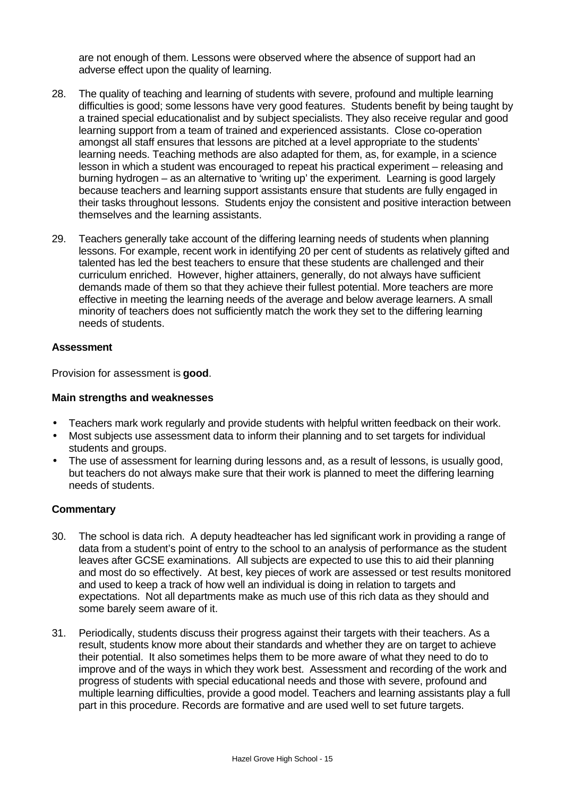are not enough of them. Lessons were observed where the absence of support had an adverse effect upon the quality of learning.

- 28. The quality of teaching and learning of students with severe, profound and multiple learning difficulties is good; some lessons have very good features. Students benefit by being taught by a trained special educationalist and by subject specialists. They also receive regular and good learning support from a team of trained and experienced assistants. Close co-operation amongst all staff ensures that lessons are pitched at a level appropriate to the students' learning needs. Teaching methods are also adapted for them, as, for example, in a science lesson in which a student was encouraged to repeat his practical experiment – releasing and burning hydrogen – as an alternative to 'writing up' the experiment. Learning is good largely because teachers and learning support assistants ensure that students are fully engaged in their tasks throughout lessons. Students enjoy the consistent and positive interaction between themselves and the learning assistants.
- 29. Teachers generally take account of the differing learning needs of students when planning lessons. For example, recent work in identifying 20 per cent of students as relatively gifted and talented has led the best teachers to ensure that these students are challenged and their curriculum enriched. However, higher attainers, generally, do not always have sufficient demands made of them so that they achieve their fullest potential. More teachers are more effective in meeting the learning needs of the average and below average learners. A small minority of teachers does not sufficiently match the work they set to the differing learning needs of students.

#### **Assessment**

Provision for assessment is **good**.

#### **Main strengths and weaknesses**

- Teachers mark work regularly and provide students with helpful written feedback on their work.
- Most subjects use assessment data to inform their planning and to set targets for individual students and groups.
- The use of assessment for learning during lessons and, as a result of lessons, is usually good, but teachers do not always make sure that their work is planned to meet the differing learning needs of students.

- 30. The school is data rich. A deputy headteacher has led significant work in providing a range of data from a student's point of entry to the school to an analysis of performance as the student leaves after GCSE examinations. All subjects are expected to use this to aid their planning and most do so effectively. At best, key pieces of work are assessed or test results monitored and used to keep a track of how well an individual is doing in relation to targets and expectations. Not all departments make as much use of this rich data as they should and some barely seem aware of it.
- 31. Periodically, students discuss their progress against their targets with their teachers. As a result, students know more about their standards and whether they are on target to achieve their potential. It also sometimes helps them to be more aware of what they need to do to improve and of the ways in which they work best. Assessment and recording of the work and progress of students with special educational needs and those with severe, profound and multiple learning difficulties, provide a good model. Teachers and learning assistants play a full part in this procedure. Records are formative and are used well to set future targets.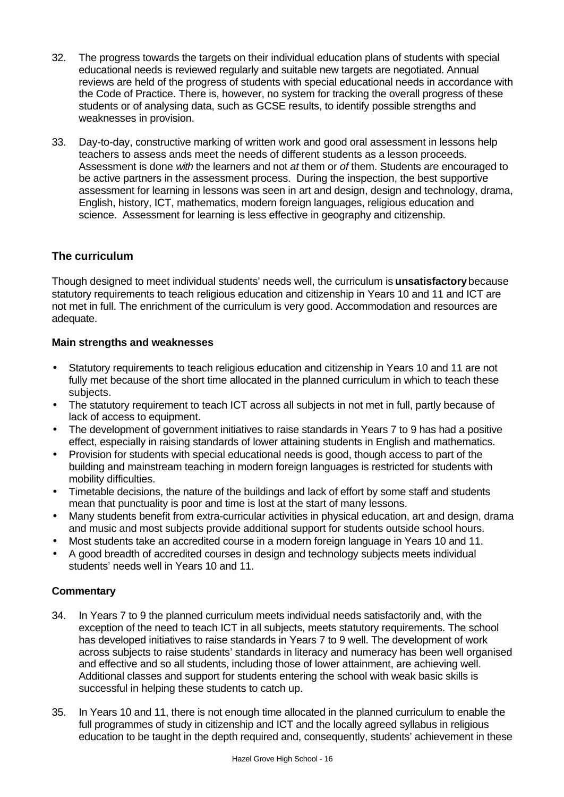- 32. The progress towards the targets on their individual education plans of students with special educational needs is reviewed regularly and suitable new targets are negotiated. Annual reviews are held of the progress of students with special educational needs in accordance with the Code of Practice. There is, however, no system for tracking the overall progress of these students or of analysing data, such as GCSE results, to identify possible strengths and weaknesses in provision.
- 33. Day-to-day, constructive marking of written work and good oral assessment in lessons help teachers to assess ands meet the needs of different students as a lesson proceeds. Assessment is done *with* the learners and not *at* them or *of* them. Students are encouraged to be active partners in the assessment process. During the inspection, the best supportive assessment for learning in lessons was seen in art and design, design and technology, drama, English, history, ICT, mathematics, modern foreign languages, religious education and science. Assessment for learning is less effective in geography and citizenship.

# **The curriculum**

Though designed to meet individual students' needs well, the curriculum is **unsatisfactory** because statutory requirements to teach religious education and citizenship in Years 10 and 11 and ICT are not met in full. The enrichment of the curriculum is very good. Accommodation and resources are adequate.

# **Main strengths and weaknesses**

- Statutory requirements to teach religious education and citizenship in Years 10 and 11 are not fully met because of the short time allocated in the planned curriculum in which to teach these subjects.
- The statutory requirement to teach ICT across all subjects in not met in full, partly because of lack of access to equipment.
- The development of government initiatives to raise standards in Years 7 to 9 has had a positive effect, especially in raising standards of lower attaining students in English and mathematics.
- Provision for students with special educational needs is good, though access to part of the building and mainstream teaching in modern foreign languages is restricted for students with mobility difficulties.
- Timetable decisions, the nature of the buildings and lack of effort by some staff and students mean that punctuality is poor and time is lost at the start of many lessons.
- Many students benefit from extra-curricular activities in physical education, art and design, drama and music and most subjects provide additional support for students outside school hours.
- Most students take an accredited course in a modern foreign language in Years 10 and 11.
- A good breadth of accredited courses in design and technology subjects meets individual students' needs well in Years 10 and 11.

- 34. In Years 7 to 9 the planned curriculum meets individual needs satisfactorily and, with the exception of the need to teach ICT in all subjects, meets statutory requirements. The school has developed initiatives to raise standards in Years 7 to 9 well. The development of work across subjects to raise students' standards in literacy and numeracy has been well organised and effective and so all students, including those of lower attainment, are achieving well. Additional classes and support for students entering the school with weak basic skills is successful in helping these students to catch up.
- 35. In Years 10 and 11, there is not enough time allocated in the planned curriculum to enable the full programmes of study in citizenship and ICT and the locally agreed syllabus in religious education to be taught in the depth required and, consequently, students' achievement in these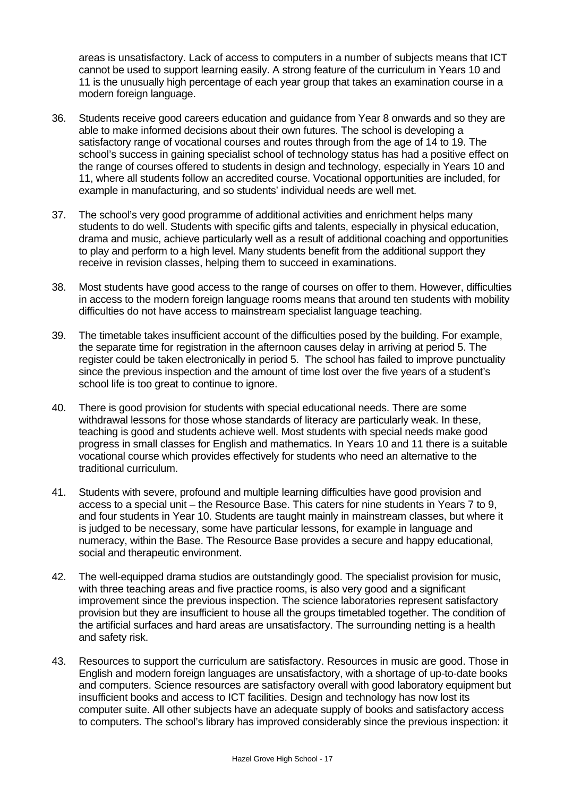areas is unsatisfactory. Lack of access to computers in a number of subjects means that ICT cannot be used to support learning easily. A strong feature of the curriculum in Years 10 and 11 is the unusually high percentage of each year group that takes an examination course in a modern foreign language.

- 36. Students receive good careers education and guidance from Year 8 onwards and so they are able to make informed decisions about their own futures. The school is developing a satisfactory range of vocational courses and routes through from the age of 14 to 19. The school's success in gaining specialist school of technology status has had a positive effect on the range of courses offered to students in design and technology, especially in Years 10 and 11, where all students follow an accredited course. Vocational opportunities are included, for example in manufacturing, and so students' individual needs are well met.
- 37. The school's very good programme of additional activities and enrichment helps many students to do well. Students with specific gifts and talents, especially in physical education, drama and music, achieve particularly well as a result of additional coaching and opportunities to play and perform to a high level. Many students benefit from the additional support they receive in revision classes, helping them to succeed in examinations.
- 38. Most students have good access to the range of courses on offer to them. However, difficulties in access to the modern foreign language rooms means that around ten students with mobility difficulties do not have access to mainstream specialist language teaching.
- 39. The timetable takes insufficient account of the difficulties posed by the building. For example, the separate time for registration in the afternoon causes delay in arriving at period 5. The register could be taken electronically in period 5. The school has failed to improve punctuality since the previous inspection and the amount of time lost over the five years of a student's school life is too great to continue to ignore.
- 40. There is good provision for students with special educational needs. There are some withdrawal lessons for those whose standards of literacy are particularly weak. In these, teaching is good and students achieve well. Most students with special needs make good progress in small classes for English and mathematics. In Years 10 and 11 there is a suitable vocational course which provides effectively for students who need an alternative to the traditional curriculum.
- 41. Students with severe, profound and multiple learning difficulties have good provision and access to a special unit – the Resource Base. This caters for nine students in Years 7 to 9, and four students in Year 10. Students are taught mainly in mainstream classes, but where it is judged to be necessary, some have particular lessons, for example in language and numeracy, within the Base. The Resource Base provides a secure and happy educational, social and therapeutic environment.
- 42. The well-equipped drama studios are outstandingly good. The specialist provision for music, with three teaching areas and five practice rooms, is also very good and a significant improvement since the previous inspection. The science laboratories represent satisfactory provision but they are insufficient to house all the groups timetabled together. The condition of the artificial surfaces and hard areas are unsatisfactory. The surrounding netting is a health and safety risk.
- 43. Resources to support the curriculum are satisfactory. Resources in music are good. Those in English and modern foreign languages are unsatisfactory, with a shortage of up-to-date books and computers. Science resources are satisfactory overall with good laboratory equipment but insufficient books and access to ICT facilities. Design and technology has now lost its computer suite. All other subjects have an adequate supply of books and satisfactory access to computers. The school's library has improved considerably since the previous inspection: it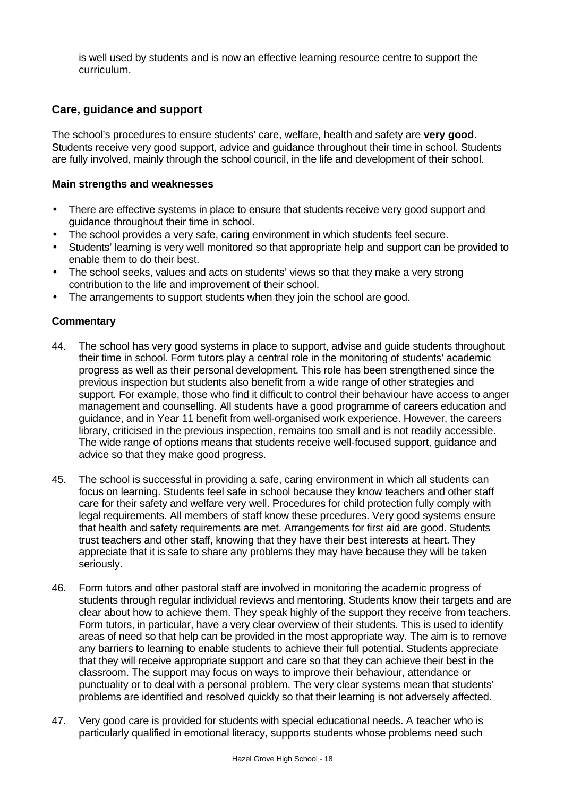is well used by students and is now an effective learning resource centre to support the curriculum.

# **Care, guidance and support**

The school's procedures to ensure students' care, welfare, health and safety are **very good**. Students receive very good support, advice and guidance throughout their time in school. Students are fully involved, mainly through the school council, in the life and development of their school.

#### **Main strengths and weaknesses**

- There are effective systems in place to ensure that students receive very good support and guidance throughout their time in school.
- The school provides a very safe, caring environment in which students feel secure.
- Students' learning is very well monitored so that appropriate help and support can be provided to enable them to do their best.
- The school seeks, values and acts on students' views so that they make a very strong contribution to the life and improvement of their school.
- The arrangements to support students when they join the school are good.

- 44. The school has very good systems in place to support, advise and guide students throughout their time in school. Form tutors play a central role in the monitoring of students' academic progress as well as their personal development. This role has been strengthened since the previous inspection but students also benefit from a wide range of other strategies and support. For example, those who find it difficult to control their behaviour have access to anger management and counselling. All students have a good programme of careers education and guidance, and in Year 11 benefit from well-organised work experience. However, the careers library, criticised in the previous inspection, remains too small and is not readily accessible. The wide range of options means that students receive well-focused support, guidance and advice so that they make good progress.
- 45. The school is successful in providing a safe, caring environment in which all students can focus on learning. Students feel safe in school because they know teachers and other staff care for their safety and welfare very well. Procedures for child protection fully comply with legal requirements. All members of staff know these prcedures. Very good systems ensure that health and safety requirements are met. Arrangements for first aid are good. Students trust teachers and other staff, knowing that they have their best interests at heart. They appreciate that it is safe to share any problems they may have because they will be taken seriously.
- 46. Form tutors and other pastoral staff are involved in monitoring the academic progress of students through regular individual reviews and mentoring. Students know their targets and are clear about how to achieve them. They speak highly of the support they receive from teachers. Form tutors, in particular, have a very clear overview of their students. This is used to identify areas of need so that help can be provided in the most appropriate way. The aim is to remove any barriers to learning to enable students to achieve their full potential. Students appreciate that they will receive appropriate support and care so that they can achieve their best in the classroom. The support may focus on ways to improve their behaviour, attendance or punctuality or to deal with a personal problem. The very clear systems mean that students' problems are identified and resolved quickly so that their learning is not adversely affected.
- 47. Very good care is provided for students with special educational needs. A teacher who is particularly qualified in emotional literacy, supports students whose problems need such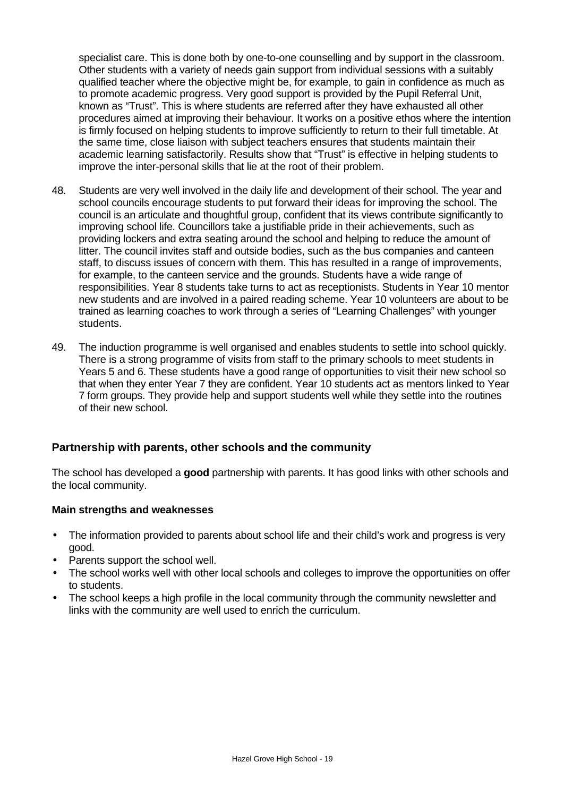specialist care. This is done both by one-to-one counselling and by support in the classroom. Other students with a variety of needs gain support from individual sessions with a suitably qualified teacher where the objective might be, for example, to gain in confidence as much as to promote academic progress. Very good support is provided by the Pupil Referral Unit, known as "Trust". This is where students are referred after they have exhausted all other procedures aimed at improving their behaviour. It works on a positive ethos where the intention is firmly focused on helping students to improve sufficiently to return to their full timetable. At the same time, close liaison with subject teachers ensures that students maintain their academic learning satisfactorily. Results show that "Trust" is effective in helping students to improve the inter-personal skills that lie at the root of their problem.

- 48. Students are very well involved in the daily life and development of their school. The year and school councils encourage students to put forward their ideas for improving the school. The council is an articulate and thoughtful group, confident that its views contribute significantly to improving school life. Councillors take a justifiable pride in their achievements, such as providing lockers and extra seating around the school and helping to reduce the amount of litter. The council invites staff and outside bodies, such as the bus companies and canteen staff, to discuss issues of concern with them. This has resulted in a range of improvements, for example, to the canteen service and the grounds. Students have a wide range of responsibilities. Year 8 students take turns to act as receptionists. Students in Year 10 mentor new students and are involved in a paired reading scheme. Year 10 volunteers are about to be trained as learning coaches to work through a series of "Learning Challenges" with younger students.
- 49. The induction programme is well organised and enables students to settle into school quickly. There is a strong programme of visits from staff to the primary schools to meet students in Years 5 and 6. These students have a good range of opportunities to visit their new school so that when they enter Year 7 they are confident. Year 10 students act as mentors linked to Year 7 form groups. They provide help and support students well while they settle into the routines of their new school.

# **Partnership with parents, other schools and the community**

The school has developed a **good** partnership with parents. It has good links with other schools and the local community.

#### **Main strengths and weaknesses**

- The information provided to parents about school life and their child's work and progress is very good.
- Parents support the school well.
- The school works well with other local schools and colleges to improve the opportunities on offer to students.
- The school keeps a high profile in the local community through the community newsletter and links with the community are well used to enrich the curriculum.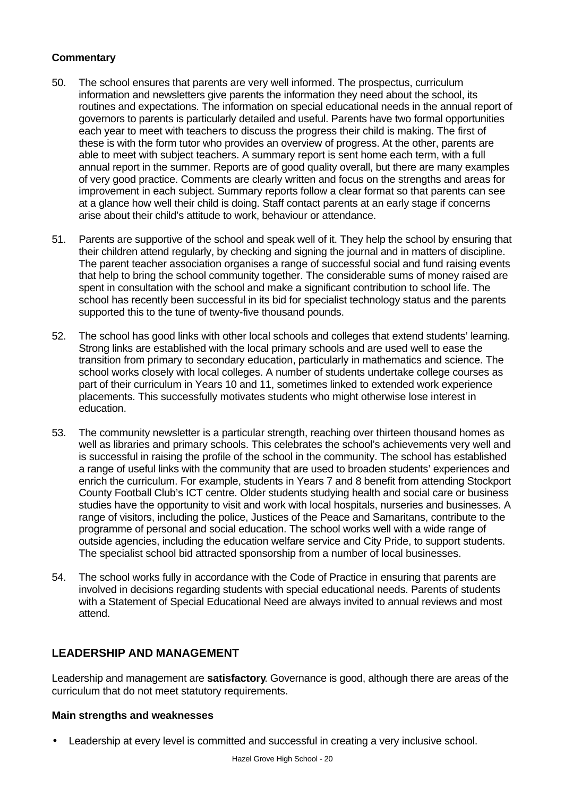# **Commentary**

- 50. The school ensures that parents are very well informed. The prospectus, curriculum information and newsletters give parents the information they need about the school, its routines and expectations. The information on special educational needs in the annual report of governors to parents is particularly detailed and useful. Parents have two formal opportunities each year to meet with teachers to discuss the progress their child is making. The first of these is with the form tutor who provides an overview of progress. At the other, parents are able to meet with subject teachers. A summary report is sent home each term, with a full annual report in the summer. Reports are of good quality overall, but there are many examples of very good practice. Comments are clearly written and focus on the strengths and areas for improvement in each subject. Summary reports follow a clear format so that parents can see at a glance how well their child is doing. Staff contact parents at an early stage if concerns arise about their child's attitude to work, behaviour or attendance.
- 51. Parents are supportive of the school and speak well of it. They help the school by ensuring that their children attend regularly, by checking and signing the journal and in matters of discipline. The parent teacher association organises a range of successful social and fund raising events that help to bring the school community together. The considerable sums of money raised are spent in consultation with the school and make a significant contribution to school life. The school has recently been successful in its bid for specialist technology status and the parents supported this to the tune of twenty-five thousand pounds.
- 52. The school has good links with other local schools and colleges that extend students' learning. Strong links are established with the local primary schools and are used well to ease the transition from primary to secondary education, particularly in mathematics and science. The school works closely with local colleges. A number of students undertake college courses as part of their curriculum in Years 10 and 11, sometimes linked to extended work experience placements. This successfully motivates students who might otherwise lose interest in education.
- 53. The community newsletter is a particular strength, reaching over thirteen thousand homes as well as libraries and primary schools. This celebrates the school's achievements very well and is successful in raising the profile of the school in the community. The school has established a range of useful links with the community that are used to broaden students' experiences and enrich the curriculum. For example, students in Years 7 and 8 benefit from attending Stockport County Football Club's ICT centre. Older students studying health and social care or business studies have the opportunity to visit and work with local hospitals, nurseries and businesses. A range of visitors, including the police, Justices of the Peace and Samaritans, contribute to the programme of personal and social education. The school works well with a wide range of outside agencies, including the education welfare service and City Pride, to support students. The specialist school bid attracted sponsorship from a number of local businesses.
- 54. The school works fully in accordance with the Code of Practice in ensuring that parents are involved in decisions regarding students with special educational needs. Parents of students with a Statement of Special Educational Need are always invited to annual reviews and most attend.

# **LEADERSHIP AND MANAGEMENT**

Leadership and management are **satisfactory**. Governance is good, although there are areas of the curriculum that do not meet statutory requirements.

#### **Main strengths and weaknesses**

• Leadership at every level is committed and successful in creating a very inclusive school.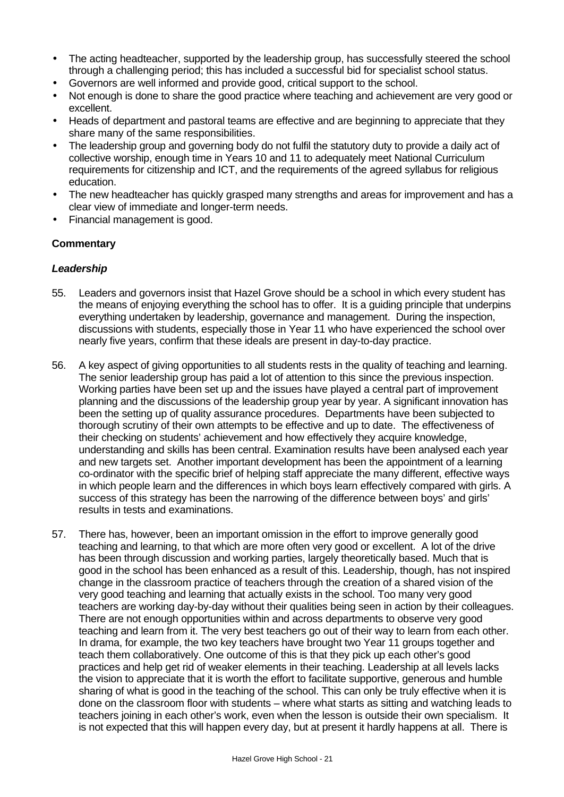- The acting headteacher, supported by the leadership group, has successfully steered the school through a challenging period; this has included a successful bid for specialist school status.
- Governors are well informed and provide good, critical support to the school.
- Not enough is done to share the good practice where teaching and achievement are very good or excellent.
- Heads of department and pastoral teams are effective and are beginning to appreciate that they share many of the same responsibilities.
- The leadership group and governing body do not fulfil the statutory duty to provide a daily act of collective worship, enough time in Years 10 and 11 to adequately meet National Curriculum requirements for citizenship and ICT, and the requirements of the agreed syllabus for religious education.
- The new headteacher has quickly grasped many strengths and areas for improvement and has a clear view of immediate and longer-term needs.
- Financial management is good.

### **Commentary**

#### *Leadership*

- 55. Leaders and governors insist that Hazel Grove should be a school in which every student has the means of enjoying everything the school has to offer. It is a guiding principle that underpins everything undertaken by leadership, governance and management. During the inspection, discussions with students, especially those in Year 11 who have experienced the school over nearly five years, confirm that these ideals are present in day-to-day practice.
- 56. A key aspect of giving opportunities to all students rests in the quality of teaching and learning. The senior leadership group has paid a lot of attention to this since the previous inspection. Working parties have been set up and the issues have played a central part of improvement planning and the discussions of the leadership group year by year. A significant innovation has been the setting up of quality assurance procedures. Departments have been subjected to thorough scrutiny of their own attempts to be effective and up to date. The effectiveness of their checking on students' achievement and how effectively they acquire knowledge, understanding and skills has been central. Examination results have been analysed each year and new targets set. Another important development has been the appointment of a learning co-ordinator with the specific brief of helping staff appreciate the many different, effective ways in which people learn and the differences in which boys learn effectively compared with girls. A success of this strategy has been the narrowing of the difference between boys' and girls' results in tests and examinations.
- 57. There has, however, been an important omission in the effort to improve generally good teaching and learning, to that which are more often very good or excellent. A lot of the drive has been through discussion and working parties, largely theoretically based. Much that is good in the school has been enhanced as a result of this. Leadership, though, has not inspired change in the classroom practice of teachers through the creation of a shared vision of the very good teaching and learning that actually exists in the school. Too many very good teachers are working day-by-day without their qualities being seen in action by their colleagues. There are not enough opportunities within and across departments to observe very good teaching and learn from it. The very best teachers go out of their way to learn from each other. In drama, for example, the two key teachers have brought two Year 11 groups together and teach them collaboratively. One outcome of this is that they pick up each other's good practices and help get rid of weaker elements in their teaching. Leadership at all levels lacks the vision to appreciate that it is worth the effort to facilitate supportive, generous and humble sharing of what is good in the teaching of the school. This can only be truly effective when it is done on the classroom floor with students – where what starts as sitting and watching leads to teachers joining in each other's work, even when the lesson is outside their own specialism. It is not expected that this will happen every day, but at present it hardly happens at all. There is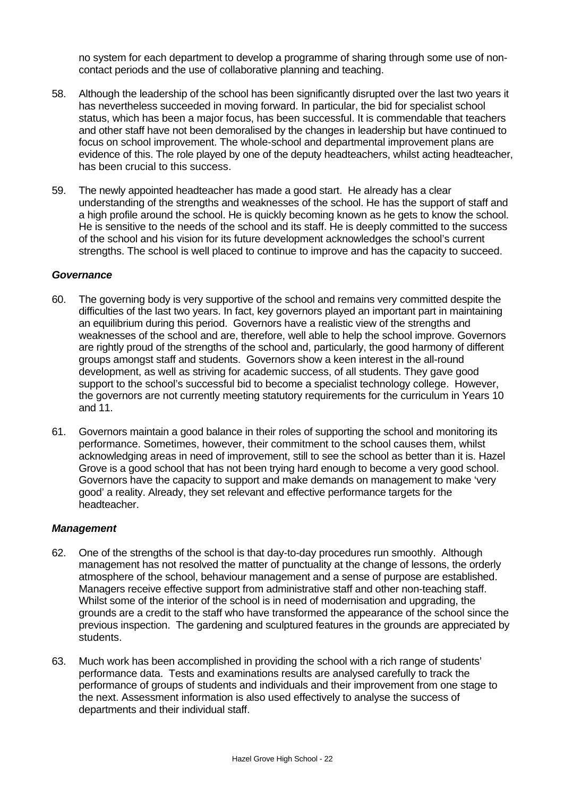no system for each department to develop a programme of sharing through some use of noncontact periods and the use of collaborative planning and teaching.

- 58. Although the leadership of the school has been significantly disrupted over the last two years it has nevertheless succeeded in moving forward. In particular, the bid for specialist school status, which has been a major focus, has been successful. It is commendable that teachers and other staff have not been demoralised by the changes in leadership but have continued to focus on school improvement. The whole-school and departmental improvement plans are evidence of this. The role played by one of the deputy headteachers, whilst acting headteacher, has been crucial to this success.
- 59. The newly appointed headteacher has made a good start. He already has a clear understanding of the strengths and weaknesses of the school. He has the support of staff and a high profile around the school. He is quickly becoming known as he gets to know the school. He is sensitive to the needs of the school and its staff. He is deeply committed to the success of the school and his vision for its future development acknowledges the school's current strengths. The school is well placed to continue to improve and has the capacity to succeed.

#### *Governance*

- 60. The governing body is very supportive of the school and remains very committed despite the difficulties of the last two years. In fact, key governors played an important part in maintaining an equilibrium during this period. Governors have a realistic view of the strengths and weaknesses of the school and are, therefore, well able to help the school improve. Governors are rightly proud of the strengths of the school and, particularly, the good harmony of different groups amongst staff and students. Governors show a keen interest in the all-round development, as well as striving for academic success, of all students. They gave good support to the school's successful bid to become a specialist technology college. However, the governors are not currently meeting statutory requirements for the curriculum in Years 10 and 11.
- 61. Governors maintain a good balance in their roles of supporting the school and monitoring its performance. Sometimes, however, their commitment to the school causes them, whilst acknowledging areas in need of improvement, still to see the school as better than it is. Hazel Grove is a good school that has not been trying hard enough to become a very good school. Governors have the capacity to support and make demands on management to make 'very good' a reality. Already, they set relevant and effective performance targets for the headteacher.

#### *Management*

- 62. One of the strengths of the school is that day-to-day procedures run smoothly. Although management has not resolved the matter of punctuality at the change of lessons, the orderly atmosphere of the school, behaviour management and a sense of purpose are established. Managers receive effective support from administrative staff and other non-teaching staff. Whilst some of the interior of the school is in need of modernisation and upgrading, the grounds are a credit to the staff who have transformed the appearance of the school since the previous inspection. The gardening and sculptured features in the grounds are appreciated by students.
- 63. Much work has been accomplished in providing the school with a rich range of students' performance data. Tests and examinations results are analysed carefully to track the performance of groups of students and individuals and their improvement from one stage to the next. Assessment information is also used effectively to analyse the success of departments and their individual staff.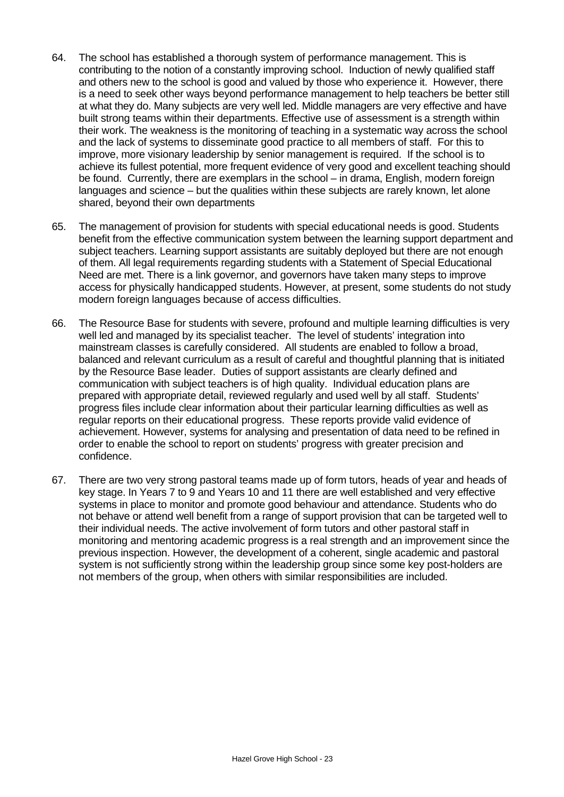- 64. The school has established a thorough system of performance management. This is contributing to the notion of a constantly improving school. Induction of newly qualified staff and others new to the school is good and valued by those who experience it. However, there is a need to seek other ways beyond performance management to help teachers be better still at what they do. Many subjects are very well led. Middle managers are very effective and have built strong teams within their departments. Effective use of assessment is a strength within their work. The weakness is the monitoring of teaching in a systematic way across the school and the lack of systems to disseminate good practice to all members of staff. For this to improve, more visionary leadership by senior management is required. If the school is to achieve its fullest potential, more frequent evidence of very good and excellent teaching should be found. Currently, there are exemplars in the school – in drama, English, modern foreign languages and science – but the qualities within these subjects are rarely known, let alone shared, beyond their own departments
- 65. The management of provision for students with special educational needs is good. Students benefit from the effective communication system between the learning support department and subject teachers. Learning support assistants are suitably deployed but there are not enough of them. All legal requirements regarding students with a Statement of Special Educational Need are met. There is a link governor, and governors have taken many steps to improve access for physically handicapped students. However, at present, some students do not study modern foreign languages because of access difficulties.
- 66. The Resource Base for students with severe, profound and multiple learning difficulties is very well led and managed by its specialist teacher. The level of students' integration into mainstream classes is carefully considered. All students are enabled to follow a broad, balanced and relevant curriculum as a result of careful and thoughtful planning that is initiated by the Resource Base leader. Duties of support assistants are clearly defined and communication with subject teachers is of high quality. Individual education plans are prepared with appropriate detail, reviewed regularly and used well by all staff. Students' progress files include clear information about their particular learning difficulties as well as regular reports on their educational progress. These reports provide valid evidence of achievement. However, systems for analysing and presentation of data need to be refined in order to enable the school to report on students' progress with greater precision and confidence.
- 67. There are two very strong pastoral teams made up of form tutors, heads of year and heads of key stage. In Years 7 to 9 and Years 10 and 11 there are well established and very effective systems in place to monitor and promote good behaviour and attendance. Students who do not behave or attend well benefit from a range of support provision that can be targeted well to their individual needs. The active involvement of form tutors and other pastoral staff in monitoring and mentoring academic progress is a real strength and an improvement since the previous inspection. However, the development of a coherent, single academic and pastoral system is not sufficiently strong within the leadership group since some key post-holders are not members of the group, when others with similar responsibilities are included.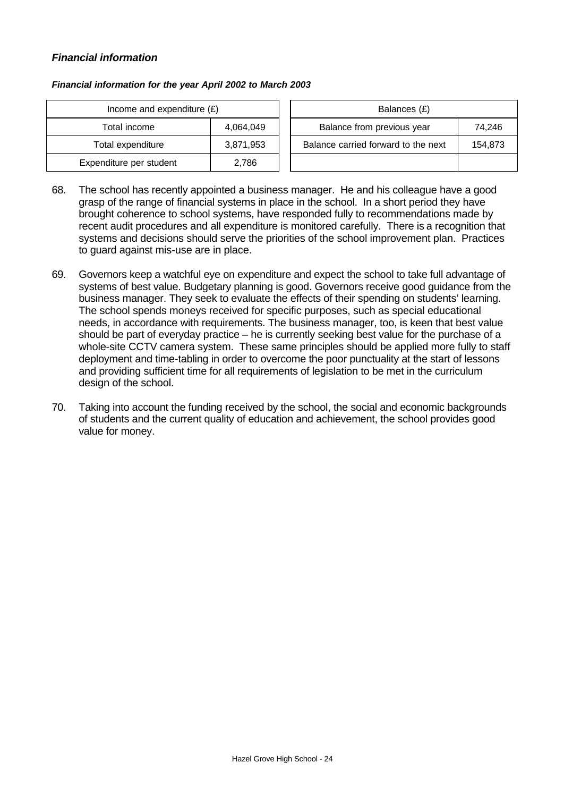#### *Financial information*

| Income and expenditure $(E)$ |           | Balances (£)                        |         |
|------------------------------|-----------|-------------------------------------|---------|
| Total income                 | 4,064,049 | Balance from previous year          | 74,246  |
| Total expenditure            | 3,871,953 | Balance carried forward to the next | 154,873 |
| Expenditure per student      | 2,786     |                                     |         |

- 68. The school has recently appointed a business manager. He and his colleague have a good grasp of the range of financial systems in place in the school. In a short period they have brought coherence to school systems, have responded fully to recommendations made by recent audit procedures and all expenditure is monitored carefully. There is a recognition that systems and decisions should serve the priorities of the school improvement plan. Practices to guard against mis-use are in place.
- 69. Governors keep a watchful eye on expenditure and expect the school to take full advantage of systems of best value. Budgetary planning is good. Governors receive good guidance from the business manager. They seek to evaluate the effects of their spending on students' learning. The school spends moneys received for specific purposes, such as special educational needs, in accordance with requirements. The business manager, too, is keen that best value should be part of everyday practice – he is currently seeking best value for the purchase of a whole-site CCTV camera system. These same principles should be applied more fully to staff deployment and time-tabling in order to overcome the poor punctuality at the start of lessons and providing sufficient time for all requirements of legislation to be met in the curriculum design of the school.
- 70. Taking into account the funding received by the school, the social and economic backgrounds of students and the current quality of education and achievement, the school provides good value for money.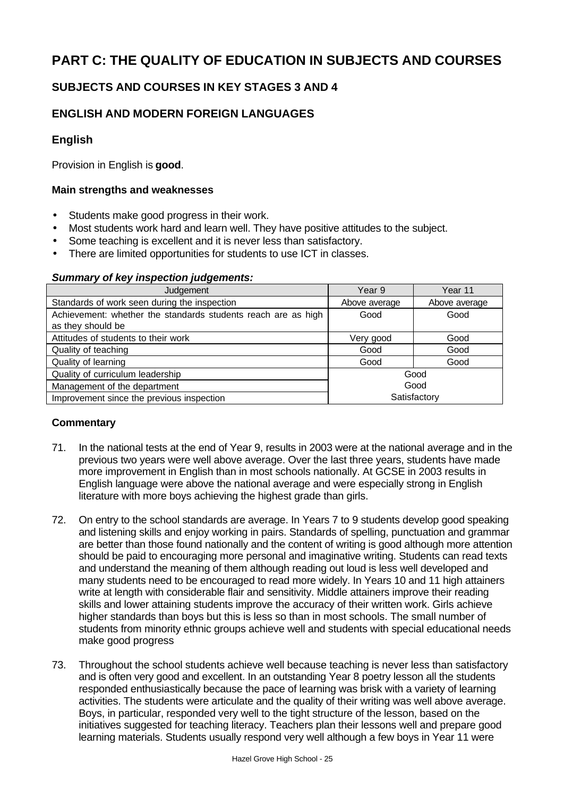# **PART C: THE QUALITY OF EDUCATION IN SUBJECTS AND COURSES**

# **SUBJECTS AND COURSES IN KEY STAGES 3 AND 4**

# **ENGLISH AND MODERN FOREIGN LANGUAGES**

# **English**

Provision in English is **good**.

## **Main strengths and weaknesses**

- Students make good progress in their work.
- Most students work hard and learn well. They have positive attitudes to the subject.
- Some teaching is excellent and it is never less than satisfactory.
- There are limited opportunities for students to use ICT in classes.

#### *Summary of key inspection judgements:*

| Judgement                                                     | Year 9        | Year 11       |
|---------------------------------------------------------------|---------------|---------------|
| Standards of work seen during the inspection                  | Above average | Above average |
| Achievement: whether the standards students reach are as high | Good          | Good          |
| as they should be                                             |               |               |
| Attitudes of students to their work                           | Very good     | Good          |
| Quality of teaching                                           | Good          | Good          |
| Quality of learning                                           | Good          | Good          |
| Quality of curriculum leadership                              |               | Good          |
| Management of the department                                  | Good          |               |
| Improvement since the previous inspection                     | Satisfactory  |               |

- 71. In the national tests at the end of Year 9, results in 2003 were at the national average and in the previous two years were well above average. Over the last three years, students have made more improvement in English than in most schools nationally. At GCSE in 2003 results in English language were above the national average and were especially strong in English literature with more boys achieving the highest grade than girls.
- 72. On entry to the school standards are average. In Years 7 to 9 students develop good speaking and listening skills and enjoy working in pairs. Standards of spelling, punctuation and grammar are better than those found nationally and the content of writing is good although more attention should be paid to encouraging more personal and imaginative writing. Students can read texts and understand the meaning of them although reading out loud is less well developed and many students need to be encouraged to read more widely. In Years 10 and 11 high attainers write at length with considerable flair and sensitivity. Middle attainers improve their reading skills and lower attaining students improve the accuracy of their written work. Girls achieve higher standards than boys but this is less so than in most schools. The small number of students from minority ethnic groups achieve well and students with special educational needs make good progress
- 73. Throughout the school students achieve well because teaching is never less than satisfactory and is often very good and excellent. In an outstanding Year 8 poetry lesson all the students responded enthusiastically because the pace of learning was brisk with a variety of learning activities. The students were articulate and the quality of their writing was well above average. Boys, in particular, responded very well to the tight structure of the lesson, based on the initiatives suggested for teaching literacy. Teachers plan their lessons well and prepare good learning materials. Students usually respond very well although a few boys in Year 11 were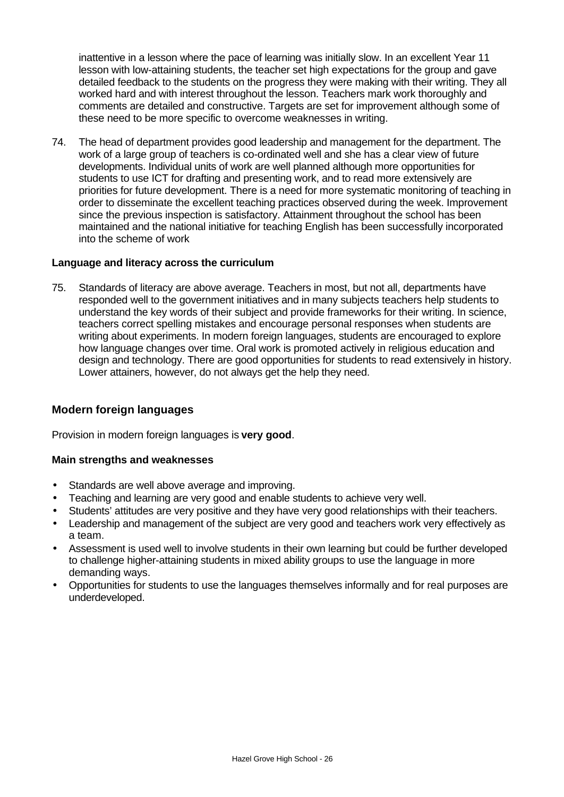inattentive in a lesson where the pace of learning was initially slow. In an excellent Year 11 lesson with low-attaining students, the teacher set high expectations for the group and gave detailed feedback to the students on the progress they were making with their writing. They all worked hard and with interest throughout the lesson. Teachers mark work thoroughly and comments are detailed and constructive. Targets are set for improvement although some of these need to be more specific to overcome weaknesses in writing.

74. The head of department provides good leadership and management for the department. The work of a large group of teachers is co-ordinated well and she has a clear view of future developments. Individual units of work are well planned although more opportunities for students to use ICT for drafting and presenting work, and to read more extensively are priorities for future development. There is a need for more systematic monitoring of teaching in order to disseminate the excellent teaching practices observed during the week. Improvement since the previous inspection is satisfactory. Attainment throughout the school has been maintained and the national initiative for teaching English has been successfully incorporated into the scheme of work

#### **Language and literacy across the curriculum**

75. Standards of literacy are above average. Teachers in most, but not all, departments have responded well to the government initiatives and in many subjects teachers help students to understand the key words of their subject and provide frameworks for their writing. In science, teachers correct spelling mistakes and encourage personal responses when students are writing about experiments. In modern foreign languages, students are encouraged to explore how language changes over time. Oral work is promoted actively in religious education and design and technology. There are good opportunities for students to read extensively in history. Lower attainers, however, do not always get the help they need.

# **Modern foreign languages**

Provision in modern foreign languages is **very good**.

#### **Main strengths and weaknesses**

- Standards are well above average and improving.
- Teaching and learning are very good and enable students to achieve very well.
- Students' attitudes are very positive and they have very good relationships with their teachers.
- Leadership and management of the subject are very good and teachers work very effectively as a team.
- Assessment is used well to involve students in their own learning but could be further developed to challenge higher-attaining students in mixed ability groups to use the language in more demanding ways.
- Opportunities for students to use the languages themselves informally and for real purposes are underdeveloped.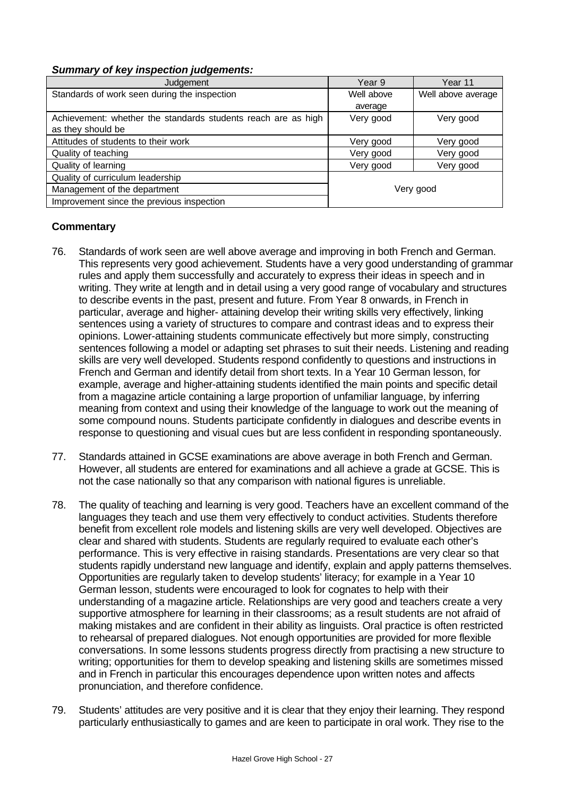#### *Summary of key inspection judgements:*

| Judgement                                                     | Year 9     | Year 11            |
|---------------------------------------------------------------|------------|--------------------|
| Standards of work seen during the inspection                  | Well above | Well above average |
|                                                               | average    |                    |
| Achievement: whether the standards students reach are as high | Very good  | Very good          |
| as they should be                                             |            |                    |
| Attitudes of students to their work                           | Very good  | Very good          |
| Quality of teaching                                           | Very good  | Very good          |
| Quality of learning                                           | Very good  | Very good          |
| Quality of curriculum leadership                              |            |                    |
| Management of the department                                  |            | Very good          |
| Improvement since the previous inspection                     |            |                    |

- 76. Standards of work seen are well above average and improving in both French and German. This represents very good achievement. Students have a very good understanding of grammar rules and apply them successfully and accurately to express their ideas in speech and in writing. They write at length and in detail using a very good range of vocabulary and structures to describe events in the past, present and future. From Year 8 onwards, in French in particular, average and higher- attaining develop their writing skills very effectively, linking sentences using a variety of structures to compare and contrast ideas and to express their opinions. Lower-attaining students communicate effectively but more simply, constructing sentences following a model or adapting set phrases to suit their needs. Listening and reading skills are very well developed. Students respond confidently to questions and instructions in French and German and identify detail from short texts. In a Year 10 German lesson, for example, average and higher-attaining students identified the main points and specific detail from a magazine article containing a large proportion of unfamiliar language, by inferring meaning from context and using their knowledge of the language to work out the meaning of some compound nouns. Students participate confidently in dialogues and describe events in response to questioning and visual cues but are less confident in responding spontaneously.
- 77. Standards attained in GCSE examinations are above average in both French and German. However, all students are entered for examinations and all achieve a grade at GCSE. This is not the case nationally so that any comparison with national figures is unreliable.
- 78. The quality of teaching and learning is very good. Teachers have an excellent command of the languages they teach and use them very effectively to conduct activities. Students therefore benefit from excellent role models and listening skills are very well developed. Objectives are clear and shared with students. Students are regularly required to evaluate each other's performance. This is very effective in raising standards. Presentations are very clear so that students rapidly understand new language and identify, explain and apply patterns themselves. Opportunities are regularly taken to develop students' literacy; for example in a Year 10 German lesson, students were encouraged to look for cognates to help with their understanding of a magazine article. Relationships are very good and teachers create a very supportive atmosphere for learning in their classrooms; as a result students are not afraid of making mistakes and are confident in their ability as linguists. Oral practice is often restricted to rehearsal of prepared dialogues. Not enough opportunities are provided for more flexible conversations. In some lessons students progress directly from practising a new structure to writing; opportunities for them to develop speaking and listening skills are sometimes missed and in French in particular this encourages dependence upon written notes and affects pronunciation, and therefore confidence.
- 79. Students' attitudes are very positive and it is clear that they enjoy their learning. They respond particularly enthusiastically to games and are keen to participate in oral work. They rise to the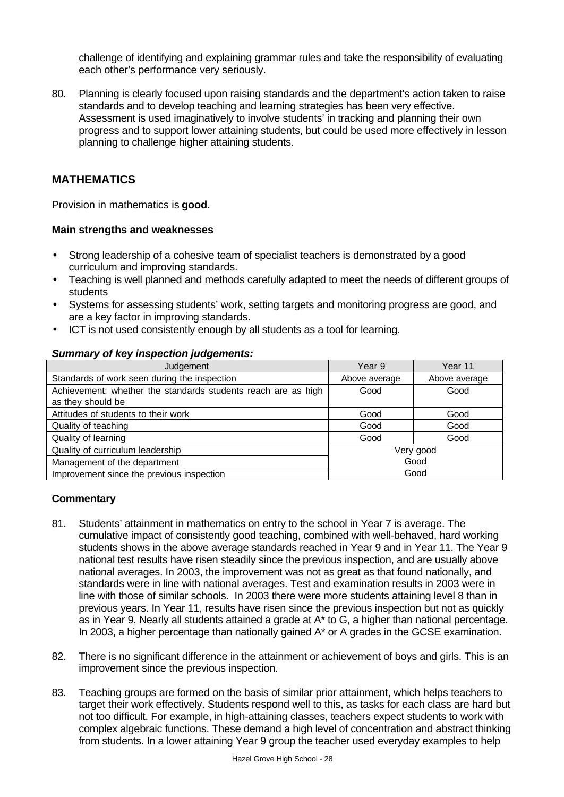challenge of identifying and explaining grammar rules and take the responsibility of evaluating each other's performance very seriously.

80. Planning is clearly focused upon raising standards and the department's action taken to raise standards and to develop teaching and learning strategies has been very effective. Assessment is used imaginatively to involve students' in tracking and planning their own progress and to support lower attaining students, but could be used more effectively in lesson planning to challenge higher attaining students.

# **MATHEMATICS**

Provision in mathematics is **good**.

#### **Main strengths and weaknesses**

- Strong leadership of a cohesive team of specialist teachers is demonstrated by a good curriculum and improving standards.
- Teaching is well planned and methods carefully adapted to meet the needs of different groups of students
- Systems for assessing students' work, setting targets and monitoring progress are good, and are a key factor in improving standards.
- ICT is not used consistently enough by all students as a tool for learning.

#### *Summary of key inspection judgements:*

| Judgement                                                     | Year 9        | Year 11       |
|---------------------------------------------------------------|---------------|---------------|
| Standards of work seen during the inspection                  | Above average | Above average |
| Achievement: whether the standards students reach are as high | Good          | Good          |
| as they should be                                             |               |               |
| Attitudes of students to their work                           | Good          | Good          |
| Quality of teaching                                           | Good          | Good          |
| Quality of learning                                           | Good          | Good          |
| Quality of curriculum leadership                              | Very good     |               |
| Management of the department                                  | Good          |               |
| Improvement since the previous inspection                     | Good          |               |

- 81. Students' attainment in mathematics on entry to the school in Year 7 is average. The cumulative impact of consistently good teaching, combined with well-behaved, hard working students shows in the above average standards reached in Year 9 and in Year 11. The Year 9 national test results have risen steadily since the previous inspection, and are usually above national averages. In 2003, the improvement was not as great as that found nationally, and standards were in line with national averages. Test and examination results in 2003 were in line with those of similar schools. In 2003 there were more students attaining level 8 than in previous years. In Year 11, results have risen since the previous inspection but not as quickly as in Year 9. Nearly all students attained a grade at A\* to G, a higher than national percentage. In 2003, a higher percentage than nationally gained A\* or A grades in the GCSE examination.
- 82. There is no significant difference in the attainment or achievement of boys and girls. This is an improvement since the previous inspection.
- 83. Teaching groups are formed on the basis of similar prior attainment, which helps teachers to target their work effectively. Students respond well to this, as tasks for each class are hard but not too difficult. For example, in high-attaining classes, teachers expect students to work with complex algebraic functions. These demand a high level of concentration and abstract thinking from students. In a lower attaining Year 9 group the teacher used everyday examples to help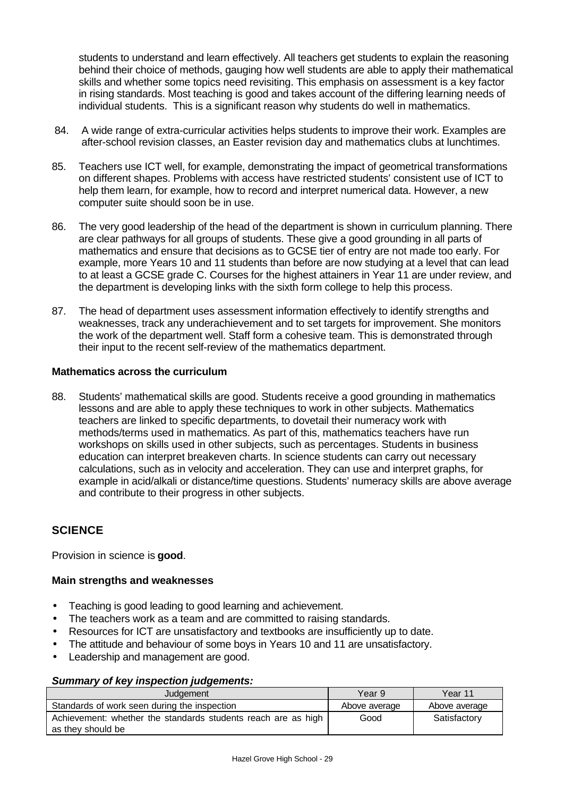students to understand and learn effectively. All teachers get students to explain the reasoning behind their choice of methods, gauging how well students are able to apply their mathematical skills and whether some topics need revisiting. This emphasis on assessment is a key factor in rising standards. Most teaching is good and takes account of the differing learning needs of individual students. This is a significant reason why students do well in mathematics.

- 84. A wide range of extra-curricular activities helps students to improve their work. Examples are after-school revision classes, an Easter revision day and mathematics clubs at lunchtimes.
- 85. Teachers use ICT well, for example, demonstrating the impact of geometrical transformations on different shapes. Problems with access have restricted students' consistent use of ICT to help them learn, for example, how to record and interpret numerical data. However, a new computer suite should soon be in use.
- 86. The very good leadership of the head of the department is shown in curriculum planning. There are clear pathways for all groups of students. These give a good grounding in all parts of mathematics and ensure that decisions as to GCSE tier of entry are not made too early. For example, more Years 10 and 11 students than before are now studying at a level that can lead to at least a GCSE grade C. Courses for the highest attainers in Year 11 are under review, and the department is developing links with the sixth form college to help this process.
- 87. The head of department uses assessment information effectively to identify strengths and weaknesses, track any underachievement and to set targets for improvement. She monitors the work of the department well. Staff form a cohesive team. This is demonstrated through their input to the recent self-review of the mathematics department.

#### **Mathematics across the curriculum**

88. Students' mathematical skills are good. Students receive a good grounding in mathematics lessons and are able to apply these techniques to work in other subjects. Mathematics teachers are linked to specific departments, to dovetail their numeracy work with methods/terms used in mathematics. As part of this, mathematics teachers have run workshops on skills used in other subjects, such as percentages. Students in business education can interpret breakeven charts. In science students can carry out necessary calculations, such as in velocity and acceleration. They can use and interpret graphs, for example in acid/alkali or distance/time questions. Students' numeracy skills are above average and contribute to their progress in other subjects.

# **SCIENCE**

Provision in science is **good**.

# **Main strengths and weaknesses**

- Teaching is good leading to good learning and achievement.
- The teachers work as a team and are committed to raising standards.
- Resources for ICT are unsatisfactory and textbooks are insufficiently up to date.
- The attitude and behaviour of some boys in Years 10 and 11 are unsatisfactory.
- Leadership and management are good.

#### *Summary of key inspection judgements:*

| Judgement                                                                          | Year 9        | Year 11       |
|------------------------------------------------------------------------------------|---------------|---------------|
| Standards of work seen during the inspection                                       | Above average | Above average |
| Achievement: whether the standards students reach are as high<br>as they should be | Good          | Satisfactory  |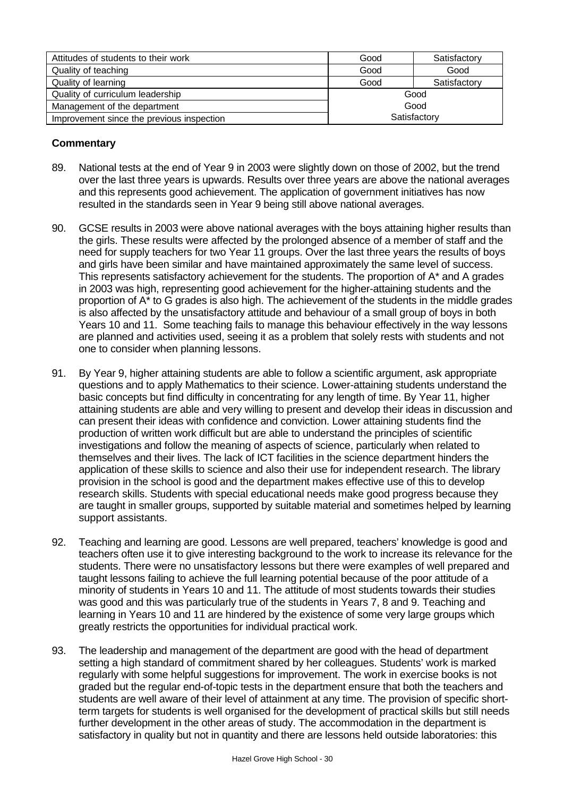| Attitudes of students to their work       | Good         | Satisfactory |
|-------------------------------------------|--------------|--------------|
| Quality of teaching                       | Good         | Good         |
| Quality of learning                       | Good         | Satisfactory |
| Quality of curriculum leadership          | Good         |              |
| Management of the department              | Good         |              |
| Improvement since the previous inspection | Satisfactory |              |

- 89. National tests at the end of Year 9 in 2003 were slightly down on those of 2002, but the trend over the last three years is upwards. Results over three years are above the national averages and this represents good achievement. The application of government initiatives has now resulted in the standards seen in Year 9 being still above national averages.
- 90. GCSE results in 2003 were above national averages with the boys attaining higher results than the girls. These results were affected by the prolonged absence of a member of staff and the need for supply teachers for two Year 11 groups. Over the last three years the results of boys and girls have been similar and have maintained approximately the same level of success. This represents satisfactory achievement for the students. The proportion of A\* and A grades in 2003 was high, representing good achievement for the higher-attaining students and the proportion of A\* to G grades is also high. The achievement of the students in the middle grades is also affected by the unsatisfactory attitude and behaviour of a small group of boys in both Years 10 and 11. Some teaching fails to manage this behaviour effectively in the way lessons are planned and activities used, seeing it as a problem that solely rests with students and not one to consider when planning lessons.
- 91. By Year 9, higher attaining students are able to follow a scientific argument, ask appropriate questions and to apply Mathematics to their science. Lower-attaining students understand the basic concepts but find difficulty in concentrating for any length of time. By Year 11, higher attaining students are able and very willing to present and develop their ideas in discussion and can present their ideas with confidence and conviction. Lower attaining students find the production of written work difficult but are able to understand the principles of scientific investigations and follow the meaning of aspects of science, particularly when related to themselves and their lives. The lack of ICT facilities in the science department hinders the application of these skills to science and also their use for independent research. The library provision in the school is good and the department makes effective use of this to develop research skills. Students with special educational needs make good progress because they are taught in smaller groups, supported by suitable material and sometimes helped by learning support assistants.
- 92. Teaching and learning are good. Lessons are well prepared, teachers' knowledge is good and teachers often use it to give interesting background to the work to increase its relevance for the students. There were no unsatisfactory lessons but there were examples of well prepared and taught lessons failing to achieve the full learning potential because of the poor attitude of a minority of students in Years 10 and 11. The attitude of most students towards their studies was good and this was particularly true of the students in Years 7, 8 and 9. Teaching and learning in Years 10 and 11 are hindered by the existence of some very large groups which greatly restricts the opportunities for individual practical work.
- 93. The leadership and management of the department are good with the head of department setting a high standard of commitment shared by her colleagues. Students' work is marked regularly with some helpful suggestions for improvement. The work in exercise books is not graded but the regular end-of-topic tests in the department ensure that both the teachers and students are well aware of their level of attainment at any time. The provision of specific shortterm targets for students is well organised for the development of practical skills but still needs further development in the other areas of study. The accommodation in the department is satisfactory in quality but not in quantity and there are lessons held outside laboratories: this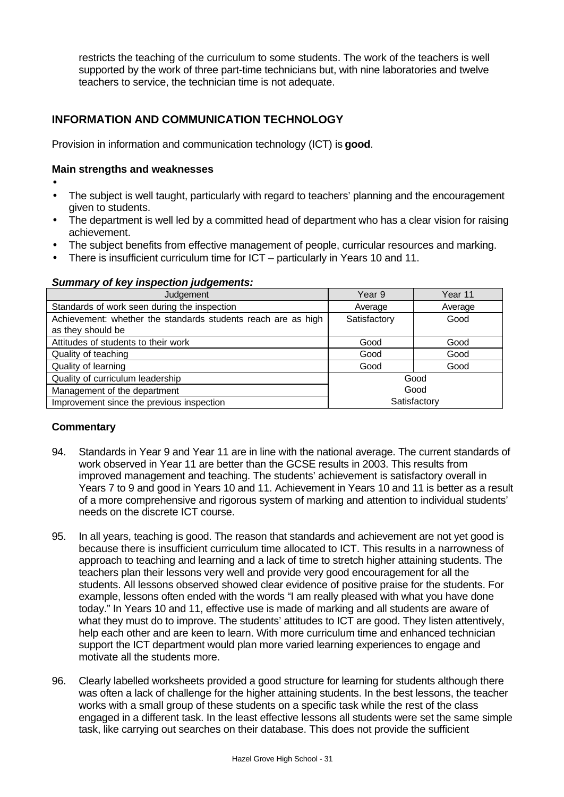restricts the teaching of the curriculum to some students. The work of the teachers is well supported by the work of three part-time technicians but, with nine laboratories and twelve teachers to service, the technician time is not adequate.

# **INFORMATION AND COMMUNICATION TECHNOLOGY**

Provision in information and communication technology (ICT) is **good**.

#### **Main strengths and weaknesses**

- •
- The subject is well taught, particularly with regard to teachers' planning and the encouragement given to students.
- The department is well led by a committed head of department who has a clear vision for raising achievement.
- The subject benefits from effective management of people, curricular resources and marking.
- There is insufficient curriculum time for ICT particularly in Years 10 and 11.

#### *Summary of key inspection judgements:*

| Judgement                                                     | Year 9       | Year 11 |
|---------------------------------------------------------------|--------------|---------|
| Standards of work seen during the inspection                  | Average      | Average |
| Achievement: whether the standards students reach are as high | Satisfactory | Good    |
| as they should be                                             |              |         |
| Attitudes of students to their work                           | Good         | Good    |
| Quality of teaching                                           | Good         | Good    |
| Quality of learning                                           | Good         | Good    |
| Quality of curriculum leadership<br>Good                      |              |         |
| Management of the department                                  | Good         |         |
| Improvement since the previous inspection                     | Satisfactory |         |

- 94. Standards in Year 9 and Year 11 are in line with the national average. The current standards of work observed in Year 11 are better than the GCSE results in 2003. This results from improved management and teaching. The students' achievement is satisfactory overall in Years 7 to 9 and good in Years 10 and 11. Achievement in Years 10 and 11 is better as a result of a more comprehensive and rigorous system of marking and attention to individual students' needs on the discrete ICT course.
- 95. In all years, teaching is good. The reason that standards and achievement are not yet good is because there is insufficient curriculum time allocated to ICT. This results in a narrowness of approach to teaching and learning and a lack of time to stretch higher attaining students. The teachers plan their lessons very well and provide very good encouragement for all the students. All lessons observed showed clear evidence of positive praise for the students. For example, lessons often ended with the words "I am really pleased with what you have done today." In Years 10 and 11, effective use is made of marking and all students are aware of what they must do to improve. The students' attitudes to ICT are good. They listen attentively, help each other and are keen to learn. With more curriculum time and enhanced technician support the ICT department would plan more varied learning experiences to engage and motivate all the students more.
- 96. Clearly labelled worksheets provided a good structure for learning for students although there was often a lack of challenge for the higher attaining students. In the best lessons, the teacher works with a small group of these students on a specific task while the rest of the class engaged in a different task. In the least effective lessons all students were set the same simple task, like carrying out searches on their database. This does not provide the sufficient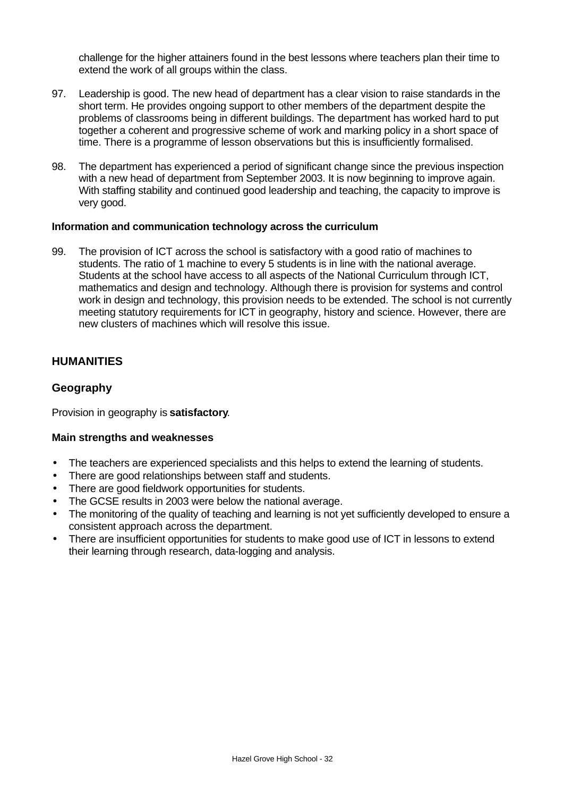challenge for the higher attainers found in the best lessons where teachers plan their time to extend the work of all groups within the class.

- 97. Leadership is good. The new head of department has a clear vision to raise standards in the short term. He provides ongoing support to other members of the department despite the problems of classrooms being in different buildings. The department has worked hard to put together a coherent and progressive scheme of work and marking policy in a short space of time. There is a programme of lesson observations but this is insufficiently formalised.
- 98. The department has experienced a period of significant change since the previous inspection with a new head of department from September 2003. It is now beginning to improve again. With staffing stability and continued good leadership and teaching, the capacity to improve is very good.

#### **Information and communication technology across the curriculum**

99. The provision of ICT across the school is satisfactory with a good ratio of machines to students. The ratio of 1 machine to every 5 students is in line with the national average. Students at the school have access to all aspects of the National Curriculum through ICT, mathematics and design and technology. Although there is provision for systems and control work in design and technology, this provision needs to be extended. The school is not currently meeting statutory requirements for ICT in geography, history and science. However, there are new clusters of machines which will resolve this issue.

# **HUMANITIES**

# **Geography**

Provision in geography is **satisfactory**.

#### **Main strengths and weaknesses**

- The teachers are experienced specialists and this helps to extend the learning of students.
- There are good relationships between staff and students.
- There are good fieldwork opportunities for students.
- The GCSE results in 2003 were below the national average.
- The monitoring of the quality of teaching and learning is not yet sufficiently developed to ensure a consistent approach across the department.
- There are insufficient opportunities for students to make good use of ICT in lessons to extend their learning through research, data-logging and analysis.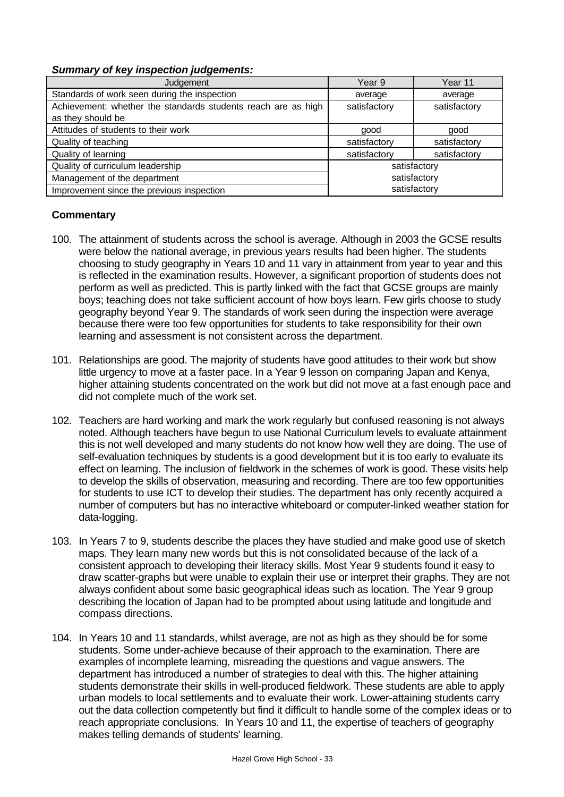#### *Summary of key inspection judgements:*

| Judgement                                                     | Year 9       | Year 11      |
|---------------------------------------------------------------|--------------|--------------|
| Standards of work seen during the inspection                  | average      | average      |
| Achievement: whether the standards students reach are as high | satisfactory | satisfactory |
| as they should be                                             |              |              |
| Attitudes of students to their work                           | good         | good         |
| Quality of teaching                                           | satisfactory | satisfactory |
| Quality of learning                                           | satisfactory | satisfactory |
| Quality of curriculum leadership                              | satisfactory |              |
| Management of the department                                  | satisfactory |              |
| Improvement since the previous inspection                     |              | satisfactory |

- 100. The attainment of students across the school is average. Although in 2003 the GCSE results were below the national average, in previous years results had been higher. The students choosing to study geography in Years 10 and 11 vary in attainment from year to year and this is reflected in the examination results. However, a significant proportion of students does not perform as well as predicted. This is partly linked with the fact that GCSE groups are mainly boys; teaching does not take sufficient account of how boys learn. Few girls choose to study geography beyond Year 9. The standards of work seen during the inspection were average because there were too few opportunities for students to take responsibility for their own learning and assessment is not consistent across the department.
- 101. Relationships are good. The majority of students have good attitudes to their work but show little urgency to move at a faster pace. In a Year 9 lesson on comparing Japan and Kenya, higher attaining students concentrated on the work but did not move at a fast enough pace and did not complete much of the work set.
- 102. Teachers are hard working and mark the work regularly but confused reasoning is not always noted. Although teachers have begun to use National Curriculum levels to evaluate attainment this is not well developed and many students do not know how well they are doing. The use of self-evaluation techniques by students is a good development but it is too early to evaluate its effect on learning. The inclusion of fieldwork in the schemes of work is good. These visits help to develop the skills of observation, measuring and recording. There are too few opportunities for students to use ICT to develop their studies. The department has only recently acquired a number of computers but has no interactive whiteboard or computer-linked weather station for data-logging.
- 103. In Years 7 to 9, students describe the places they have studied and make good use of sketch maps. They learn many new words but this is not consolidated because of the lack of a consistent approach to developing their literacy skills. Most Year 9 students found it easy to draw scatter-graphs but were unable to explain their use or interpret their graphs. They are not always confident about some basic geographical ideas such as location. The Year 9 group describing the location of Japan had to be prompted about using latitude and longitude and compass directions.
- 104. In Years 10 and 11 standards, whilst average, are not as high as they should be for some students. Some under-achieve because of their approach to the examination. There are examples of incomplete learning, misreading the questions and vague answers. The department has introduced a number of strategies to deal with this. The higher attaining students demonstrate their skills in well-produced fieldwork. These students are able to apply urban models to local settlements and to evaluate their work. Lower-attaining students carry out the data collection competently but find it difficult to handle some of the complex ideas or to reach appropriate conclusions. In Years 10 and 11, the expertise of teachers of geography makes telling demands of students' learning.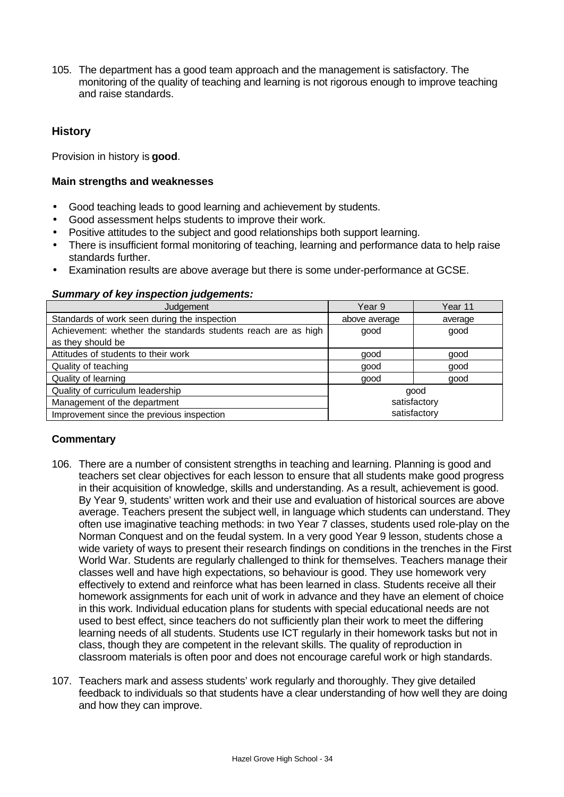105. The department has a good team approach and the management is satisfactory. The monitoring of the quality of teaching and learning is not rigorous enough to improve teaching and raise standards.

# **History**

Provision in history is **good**.

#### **Main strengths and weaknesses**

- Good teaching leads to good learning and achievement by students.
- Good assessment helps students to improve their work.
- Positive attitudes to the subject and good relationships both support learning.
- There is insufficient formal monitoring of teaching, learning and performance data to help raise standards further.
- Examination results are above average but there is some under-performance at GCSE.

#### *Summary of key inspection judgements:*

| Judgement                                                     | Year 9        | Year 11      |
|---------------------------------------------------------------|---------------|--------------|
| Standards of work seen during the inspection                  | above average | average      |
| Achievement: whether the standards students reach are as high | good          | good         |
| as they should be                                             |               |              |
| Attitudes of students to their work                           | good          | good         |
| Quality of teaching                                           | good          | good         |
| Quality of learning                                           | good          | good         |
| Quality of curriculum leadership                              |               | good         |
| Management of the department                                  | satisfactory  |              |
| Improvement since the previous inspection                     |               | satisfactory |

- 106. There are a number of consistent strengths in teaching and learning. Planning is good and teachers set clear objectives for each lesson to ensure that all students make good progress in their acquisition of knowledge, skills and understanding. As a result, achievement is good. By Year 9, students' written work and their use and evaluation of historical sources are above average. Teachers present the subject well, in language which students can understand. They often use imaginative teaching methods: in two Year 7 classes, students used role-play on the Norman Conquest and on the feudal system. In a very good Year 9 lesson, students chose a wide variety of ways to present their research findings on conditions in the trenches in the First World War. Students are regularly challenged to think for themselves. Teachers manage their classes well and have high expectations, so behaviour is good. They use homework very effectively to extend and reinforce what has been learned in class. Students receive all their homework assignments for each unit of work in advance and they have an element of choice in this work. Individual education plans for students with special educational needs are not used to best effect, since teachers do not sufficiently plan their work to meet the differing learning needs of all students. Students use ICT regularly in their homework tasks but not in class, though they are competent in the relevant skills. The quality of reproduction in classroom materials is often poor and does not encourage careful work or high standards.
- 107. Teachers mark and assess students' work regularly and thoroughly. They give detailed feedback to individuals so that students have a clear understanding of how well they are doing and how they can improve.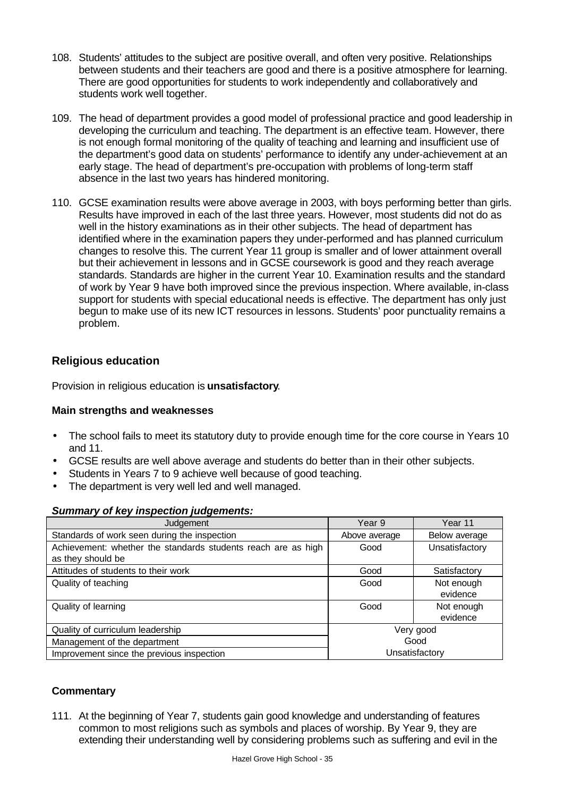- 108. Students' attitudes to the subject are positive overall, and often very positive. Relationships between students and their teachers are good and there is a positive atmosphere for learning. There are good opportunities for students to work independently and collaboratively and students work well together.
- 109. The head of department provides a good model of professional practice and good leadership in developing the curriculum and teaching. The department is an effective team. However, there is not enough formal monitoring of the quality of teaching and learning and insufficient use of the department's good data on students' performance to identify any under-achievement at an early stage. The head of department's pre-occupation with problems of long-term staff absence in the last two years has hindered monitoring.
- 110. GCSE examination results were above average in 2003, with boys performing better than girls. Results have improved in each of the last three years. However, most students did not do as well in the history examinations as in their other subjects. The head of department has identified where in the examination papers they under-performed and has planned curriculum changes to resolve this. The current Year 11 group is smaller and of lower attainment overall but their achievement in lessons and in GCSE coursework is good and they reach average standards. Standards are higher in the current Year 10. Examination results and the standard of work by Year 9 have both improved since the previous inspection. Where available, in-class support for students with special educational needs is effective. The department has only just begun to make use of its new ICT resources in lessons. Students' poor punctuality remains a problem.

# **Religious education**

Provision in religious education is **unsatisfactory**.

# **Main strengths and weaknesses**

- The school fails to meet its statutory duty to provide enough time for the core course in Years 10 and 11.
- GCSE results are well above average and students do better than in their other subjects.
- Students in Years 7 to 9 achieve well because of good teaching.
- The department is very well led and well managed.

#### *Summary of key inspection judgements:*

| Judgement                                                                          | Year 9         | Year 11                |
|------------------------------------------------------------------------------------|----------------|------------------------|
| Standards of work seen during the inspection                                       | Above average  | Below average          |
| Achievement: whether the standards students reach are as high<br>as they should be | Good           | Unsatisfactory         |
| Attitudes of students to their work                                                | Good           | Satisfactory           |
| Quality of teaching                                                                | Good           | Not enough<br>evidence |
| Quality of learning                                                                | Good           | Not enough<br>evidence |
| Quality of curriculum leadership                                                   | Very good      |                        |
| Management of the department                                                       | Good           |                        |
| Improvement since the previous inspection                                          | Unsatisfactory |                        |

# **Commentary**

111. At the beginning of Year 7, students gain good knowledge and understanding of features common to most religions such as symbols and places of worship. By Year 9, they are extending their understanding well by considering problems such as suffering and evil in the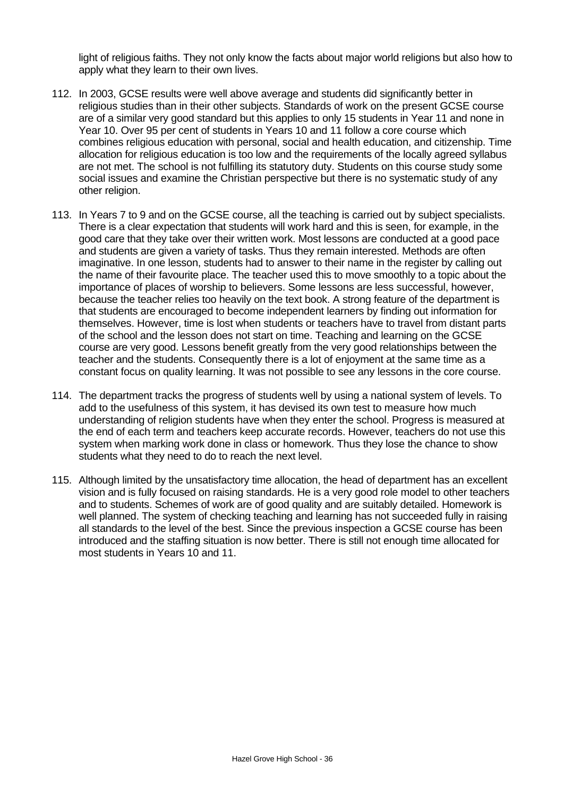light of religious faiths. They not only know the facts about major world religions but also how to apply what they learn to their own lives.

- 112. In 2003, GCSE results were well above average and students did significantly better in religious studies than in their other subjects. Standards of work on the present GCSE course are of a similar very good standard but this applies to only 15 students in Year 11 and none in Year 10. Over 95 per cent of students in Years 10 and 11 follow a core course which combines religious education with personal, social and health education, and citizenship. Time allocation for religious education is too low and the requirements of the locally agreed syllabus are not met. The school is not fulfilling its statutory duty. Students on this course study some social issues and examine the Christian perspective but there is no systematic study of any other religion.
- 113. In Years 7 to 9 and on the GCSE course, all the teaching is carried out by subject specialists. There is a clear expectation that students will work hard and this is seen, for example, in the good care that they take over their written work. Most lessons are conducted at a good pace and students are given a variety of tasks. Thus they remain interested. Methods are often imaginative. In one lesson, students had to answer to their name in the register by calling out the name of their favourite place. The teacher used this to move smoothly to a topic about the importance of places of worship to believers. Some lessons are less successful, however, because the teacher relies too heavily on the text book. A strong feature of the department is that students are encouraged to become independent learners by finding out information for themselves. However, time is lost when students or teachers have to travel from distant parts of the school and the lesson does not start on time. Teaching and learning on the GCSE course are very good. Lessons benefit greatly from the very good relationships between the teacher and the students. Consequently there is a lot of enjoyment at the same time as a constant focus on quality learning. It was not possible to see any lessons in the core course.
- 114. The department tracks the progress of students well by using a national system of levels. To add to the usefulness of this system, it has devised its own test to measure how much understanding of religion students have when they enter the school. Progress is measured at the end of each term and teachers keep accurate records. However, teachers do not use this system when marking work done in class or homework. Thus they lose the chance to show students what they need to do to reach the next level.
- 115. Although limited by the unsatisfactory time allocation, the head of department has an excellent vision and is fully focused on raising standards. He is a very good role model to other teachers and to students. Schemes of work are of good quality and are suitably detailed. Homework is well planned. The system of checking teaching and learning has not succeeded fully in raising all standards to the level of the best. Since the previous inspection a GCSE course has been introduced and the staffing situation is now better. There is still not enough time allocated for most students in Years 10 and 11.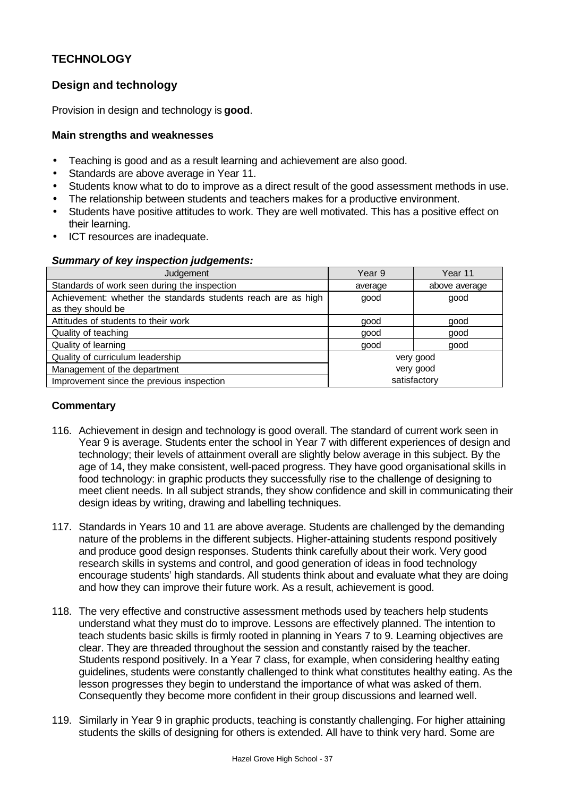# **TECHNOLOGY**

# **Design and technology**

Provision in design and technology is **good**.

#### **Main strengths and weaknesses**

- Teaching is good and as a result learning and achievement are also good.
- Standards are above average in Year 11.
- Students know what to do to improve as a direct result of the good assessment methods in use.
- The relationship between students and teachers makes for a productive environment.
- Students have positive attitudes to work. They are well motivated. This has a positive effect on their learning.
- ICT resources are inadequate.

|  | <b>Summary of key inspection judgements:</b> |  |
|--|----------------------------------------------|--|
|  |                                              |  |

| Judgement                                                                          | Year 9    | Year 11       |
|------------------------------------------------------------------------------------|-----------|---------------|
| Standards of work seen during the inspection                                       | average   | above average |
| Achievement: whether the standards students reach are as high<br>as they should be | good      | good          |
| Attitudes of students to their work                                                | good      | good          |
| Quality of teaching                                                                | good      | good          |
| Quality of learning                                                                | good      | good          |
| Quality of curriculum leadership                                                   | very good |               |
| Management of the department                                                       | very good |               |
| Improvement since the previous inspection                                          |           | satisfactory  |

- 116. Achievement in design and technology is good overall. The standard of current work seen in Year 9 is average. Students enter the school in Year 7 with different experiences of design and technology; their levels of attainment overall are slightly below average in this subject. By the age of 14, they make consistent, well-paced progress. They have good organisational skills in food technology: in graphic products they successfully rise to the challenge of designing to meet client needs. In all subject strands, they show confidence and skill in communicating their design ideas by writing, drawing and labelling techniques.
- 117. Standards in Years 10 and 11 are above average. Students are challenged by the demanding nature of the problems in the different subjects. Higher-attaining students respond positively and produce good design responses. Students think carefully about their work. Very good research skills in systems and control, and good generation of ideas in food technology encourage students' high standards. All students think about and evaluate what they are doing and how they can improve their future work. As a result, achievement is good.
- 118. The very effective and constructive assessment methods used by teachers help students understand what they must do to improve. Lessons are effectively planned. The intention to teach students basic skills is firmly rooted in planning in Years 7 to 9. Learning objectives are clear. They are threaded throughout the session and constantly raised by the teacher. Students respond positively. In a Year 7 class, for example, when considering healthy eating guidelines, students were constantly challenged to think what constitutes healthy eating. As the lesson progresses they begin to understand the importance of what was asked of them. Consequently they become more confident in their group discussions and learned well.
- 119. Similarly in Year 9 in graphic products, teaching is constantly challenging. For higher attaining students the skills of designing for others is extended. All have to think very hard. Some are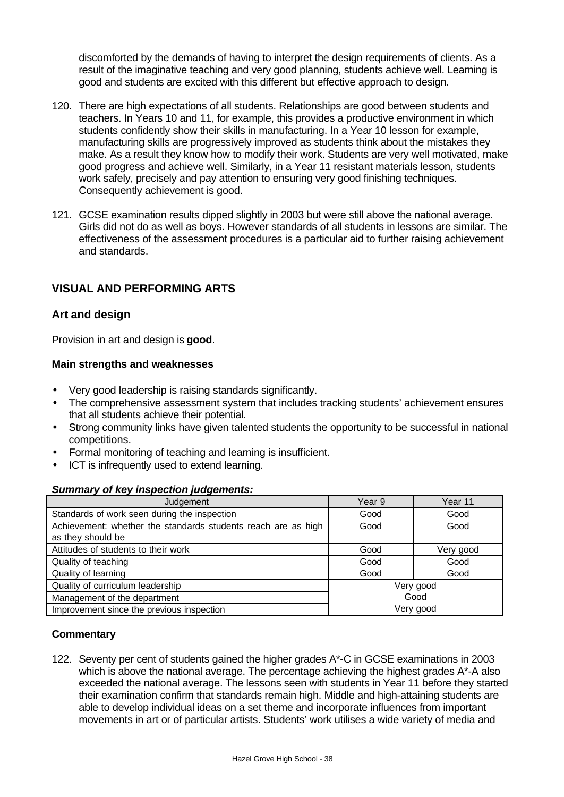discomforted by the demands of having to interpret the design requirements of clients. As a result of the imaginative teaching and very good planning, students achieve well. Learning is good and students are excited with this different but effective approach to design.

- 120. There are high expectations of all students. Relationships are good between students and teachers. In Years 10 and 11, for example, this provides a productive environment in which students confidently show their skills in manufacturing. In a Year 10 lesson for example, manufacturing skills are progressively improved as students think about the mistakes they make. As a result they know how to modify their work. Students are very well motivated, make good progress and achieve well. Similarly, in a Year 11 resistant materials lesson, students work safely, precisely and pay attention to ensuring very good finishing techniques. Consequently achievement is good.
- 121. GCSE examination results dipped slightly in 2003 but were still above the national average. Girls did not do as well as boys. However standards of all students in lessons are similar. The effectiveness of the assessment procedures is a particular aid to further raising achievement and standards.

# **VISUAL AND PERFORMING ARTS**

### **Art and design**

Provision in art and design is **good**.

#### **Main strengths and weaknesses**

- Very good leadership is raising standards significantly.
- The comprehensive assessment system that includes tracking students' achievement ensures that all students achieve their potential.
- Strong community links have given talented students the opportunity to be successful in national competitions.
- Formal monitoring of teaching and learning is insufficient.
- **ICT** is infrequently used to extend learning.

#### *Summary of key inspection judgements:*

| Judgement                                                     | Year 9    | Year 11   |
|---------------------------------------------------------------|-----------|-----------|
| Standards of work seen during the inspection                  | Good      | Good      |
| Achievement: whether the standards students reach are as high | Good      | Good      |
| as they should be                                             |           |           |
| Attitudes of students to their work                           | Good      | Very good |
| Quality of teaching                                           | Good      | Good      |
| Quality of learning                                           | Good      | Good      |
| Quality of curriculum leadership                              | Very good |           |
| Management of the department                                  | Good      |           |
| Improvement since the previous inspection                     | Very good |           |

#### **Commentary**

122. Seventy per cent of students gained the higher grades A\*-C in GCSE examinations in 2003 which is above the national average. The percentage achieving the highest grades A\*-A also exceeded the national average. The lessons seen with students in Year 11 before they started their examination confirm that standards remain high. Middle and high-attaining students are able to develop individual ideas on a set theme and incorporate influences from important movements in art or of particular artists. Students' work utilises a wide variety of media and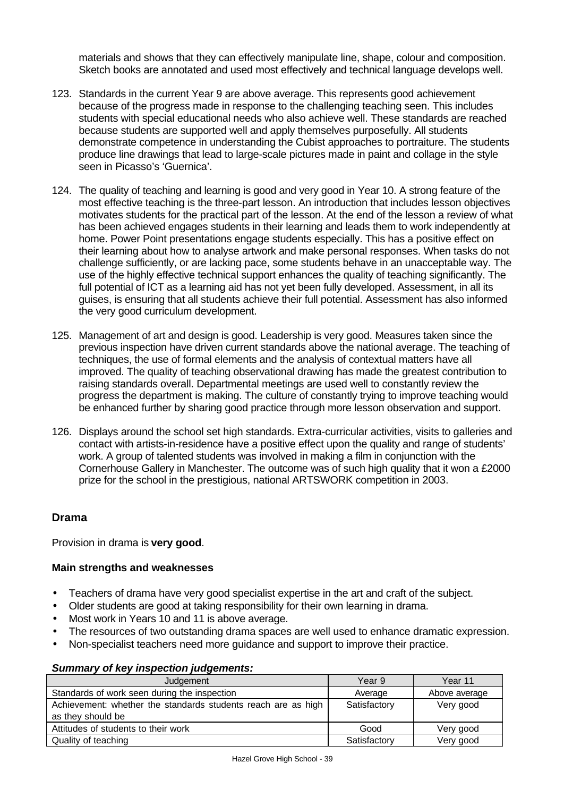materials and shows that they can effectively manipulate line, shape, colour and composition. Sketch books are annotated and used most effectively and technical language develops well.

- 123. Standards in the current Year 9 are above average. This represents good achievement because of the progress made in response to the challenging teaching seen. This includes students with special educational needs who also achieve well. These standards are reached because students are supported well and apply themselves purposefully. All students demonstrate competence in understanding the Cubist approaches to portraiture. The students produce line drawings that lead to large-scale pictures made in paint and collage in the style seen in Picasso's 'Guernica'.
- 124. The quality of teaching and learning is good and very good in Year 10. A strong feature of the most effective teaching is the three-part lesson. An introduction that includes lesson objectives motivates students for the practical part of the lesson. At the end of the lesson a review of what has been achieved engages students in their learning and leads them to work independently at home. Power Point presentations engage students especially. This has a positive effect on their learning about how to analyse artwork and make personal responses. When tasks do not challenge sufficiently, or are lacking pace, some students behave in an unacceptable way. The use of the highly effective technical support enhances the quality of teaching significantly. The full potential of ICT as a learning aid has not yet been fully developed. Assessment, in all its guises, is ensuring that all students achieve their full potential. Assessment has also informed the very good curriculum development.
- 125. Management of art and design is good. Leadership is very good. Measures taken since the previous inspection have driven current standards above the national average. The teaching of techniques, the use of formal elements and the analysis of contextual matters have all improved. The quality of teaching observational drawing has made the greatest contribution to raising standards overall. Departmental meetings are used well to constantly review the progress the department is making. The culture of constantly trying to improve teaching would be enhanced further by sharing good practice through more lesson observation and support.
- 126. Displays around the school set high standards. Extra-curricular activities, visits to galleries and contact with artists-in-residence have a positive effect upon the quality and range of students' work. A group of talented students was involved in making a film in conjunction with the Cornerhouse Gallery in Manchester. The outcome was of such high quality that it won a £2000 prize for the school in the prestigious, national ARTSWORK competition in 2003.

# **Drama**

Provision in drama is **very good**.

#### **Main strengths and weaknesses**

- Teachers of drama have very good specialist expertise in the art and craft of the subject.
- Older students are good at taking responsibility for their own learning in drama.
- Most work in Years 10 and 11 is above average.
- The resources of two outstanding drama spaces are well used to enhance dramatic expression.
- Non-specialist teachers need more guidance and support to improve their practice.

#### *Summary of key inspection judgements:*

| Judgement                                                                          | Year 9       | Year 11       |
|------------------------------------------------------------------------------------|--------------|---------------|
| Standards of work seen during the inspection<br>Average                            |              | Above average |
| Achievement: whether the standards students reach are as high<br>as they should be | Satisfactory | Very good     |
| Attitudes of students to their work                                                | Good         | Very good     |
| Quality of teaching                                                                | Satisfactory | Very good     |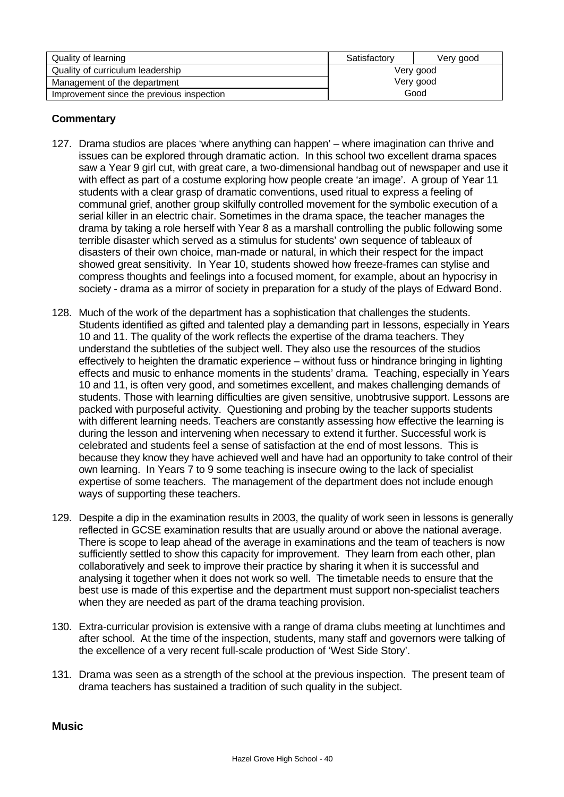| Quality of learning                       | Satisfactory | Very good |
|-------------------------------------------|--------------|-----------|
| Quality of curriculum leadership          | Very good    |           |
| Management of the department              | Very good    |           |
| Improvement since the previous inspection | Good         |           |

# **Commentary**

- 127. Drama studios are places 'where anything can happen' where imagination can thrive and issues can be explored through dramatic action. In this school two excellent drama spaces saw a Year 9 girl cut, with great care, a two-dimensional handbag out of newspaper and use it with effect as part of a costume exploring how people create 'an image'. A group of Year 11 students with a clear grasp of dramatic conventions, used ritual to express a feeling of communal grief, another group skilfully controlled movement for the symbolic execution of a serial killer in an electric chair. Sometimes in the drama space, the teacher manages the drama by taking a role herself with Year 8 as a marshall controlling the public following some terrible disaster which served as a stimulus for students' own sequence of tableaux of disasters of their own choice, man-made or natural, in which their respect for the impact showed great sensitivity. In Year 10, students showed how freeze-frames can stylise and compress thoughts and feelings into a focused moment, for example, about an hypocrisy in society - drama as a mirror of society in preparation for a study of the plays of Edward Bond.
- 128. Much of the work of the department has a sophistication that challenges the students. Students identified as gifted and talented play a demanding part in Iessons, especially in Years 10 and 11. The quality of the work reflects the expertise of the drama teachers. They understand the subtleties of the subject well. They also use the resources of the studios effectively to heighten the dramatic experience – without fuss or hindrance bringing in lighting effects and music to enhance moments in the students' drama. Teaching, especially in Years 10 and 11, is often very good, and sometimes excellent, and makes challenging demands of students. Those with learning difficulties are given sensitive, unobtrusive support. Lessons are packed with purposeful activity. Questioning and probing by the teacher supports students with different learning needs. Teachers are constantly assessing how effective the learning is during the lesson and intervening when necessary to extend it further. Successful work is celebrated and students feel a sense of satisfaction at the end of most lessons. This is because they know they have achieved well and have had an opportunity to take control of their own learning. In Years 7 to 9 some teaching is insecure owing to the lack of specialist expertise of some teachers. The management of the department does not include enough ways of supporting these teachers.
- 129. Despite a dip in the examination results in 2003, the quality of work seen in lessons is generally reflected in GCSE examination results that are usually around or above the national average. There is scope to leap ahead of the average in examinations and the team of teachers is now sufficiently settled to show this capacity for improvement. They learn from each other, plan collaboratively and seek to improve their practice by sharing it when it is successful and analysing it together when it does not work so well. The timetable needs to ensure that the best use is made of this expertise and the department must support non-specialist teachers when they are needed as part of the drama teaching provision.
- 130. Extra-curricular provision is extensive with a range of drama clubs meeting at lunchtimes and after school. At the time of the inspection, students, many staff and governors were talking of the excellence of a very recent full-scale production of 'West Side Story'.
- 131. Drama was seen as a strength of the school at the previous inspection. The present team of drama teachers has sustained a tradition of such quality in the subject.

**Music**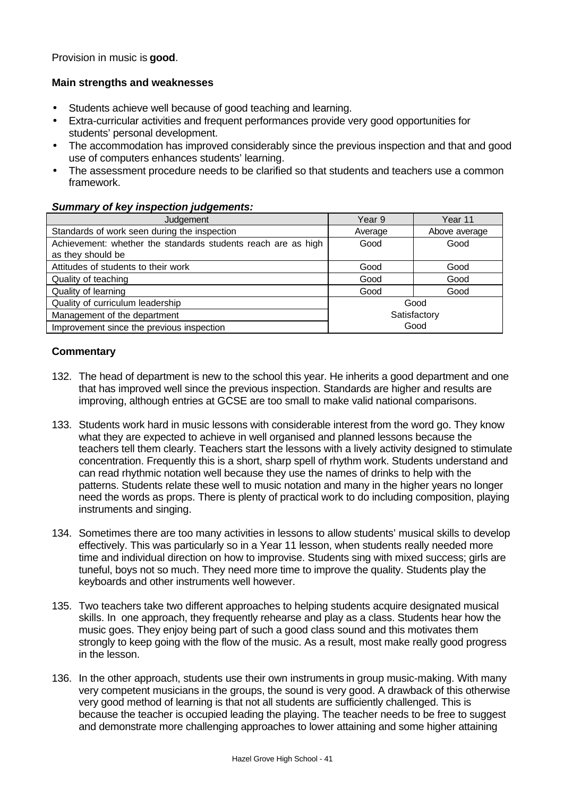Provision in music is **good**.

#### **Main strengths and weaknesses**

- Students achieve well because of good teaching and learning.
- Extra-curricular activities and frequent performances provide very good opportunities for students' personal development.
- The accommodation has improved considerably since the previous inspection and that and good use of computers enhances students' learning.
- The assessment procedure needs to be clarified so that students and teachers use a common framework.

#### *Summary of key inspection judgements:*

| Judgement                                                             | Year 9       | Year 11       |
|-----------------------------------------------------------------------|--------------|---------------|
| Standards of work seen during the inspection                          | Average      | Above average |
| Achievement: whether the standards students reach are as high<br>Good |              | Good          |
| as they should be                                                     |              |               |
| Attitudes of students to their work                                   | Good         | Good          |
| Quality of teaching                                                   | Good         | Good          |
| Quality of learning                                                   | Good         | Good          |
| Quality of curriculum leadership                                      | Good         |               |
| Management of the department                                          | Satisfactory |               |
| Improvement since the previous inspection                             | Good         |               |

- 132. The head of department is new to the school this year. He inherits a good department and one that has improved well since the previous inspection. Standards are higher and results are improving, although entries at GCSE are too small to make valid national comparisons.
- 133. Students work hard in music lessons with considerable interest from the word go. They know what they are expected to achieve in well organised and planned lessons because the teachers tell them clearly. Teachers start the lessons with a lively activity designed to stimulate concentration. Frequently this is a short, sharp spell of rhythm work. Students understand and can read rhythmic notation well because they use the names of drinks to help with the patterns. Students relate these well to music notation and many in the higher years no longer need the words as props. There is plenty of practical work to do including composition, playing instruments and singing.
- 134. Sometimes there are too many activities in lessons to allow students' musical skills to develop effectively. This was particularly so in a Year 11 lesson, when students really needed more time and individual direction on how to improvise. Students sing with mixed success; girls are tuneful, boys not so much. They need more time to improve the quality. Students play the keyboards and other instruments well however.
- 135. Two teachers take two different approaches to helping students acquire designated musical skills. In one approach, they frequently rehearse and play as a class. Students hear how the music goes. They enjoy being part of such a good class sound and this motivates them strongly to keep going with the flow of the music. As a result, most make really good progress in the lesson.
- 136. In the other approach, students use their own instruments in group music-making. With many very competent musicians in the groups, the sound is very good. A drawback of this otherwise very good method of learning is that not all students are sufficiently challenged. This is because the teacher is occupied leading the playing. The teacher needs to be free to suggest and demonstrate more challenging approaches to lower attaining and some higher attaining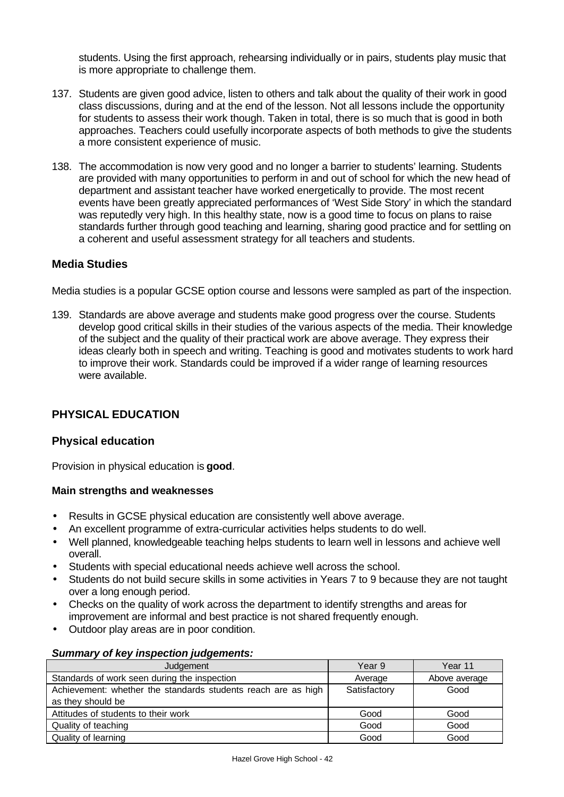students. Using the first approach, rehearsing individually or in pairs, students play music that is more appropriate to challenge them.

- 137. Students are given good advice, listen to others and talk about the quality of their work in good class discussions, during and at the end of the lesson. Not all lessons include the opportunity for students to assess their work though. Taken in total, there is so much that is good in both approaches. Teachers could usefully incorporate aspects of both methods to give the students a more consistent experience of music.
- 138. The accommodation is now very good and no longer a barrier to students' learning. Students are provided with many opportunities to perform in and out of school for which the new head of department and assistant teacher have worked energetically to provide. The most recent events have been greatly appreciated performances of 'West Side Story' in which the standard was reputedly very high. In this healthy state, now is a good time to focus on plans to raise standards further through good teaching and learning, sharing good practice and for settling on a coherent and useful assessment strategy for all teachers and students.

# **Media Studies**

Media studies is a popular GCSE option course and lessons were sampled as part of the inspection.

139. Standards are above average and students make good progress over the course. Students develop good critical skills in their studies of the various aspects of the media. Their knowledge of the subject and the quality of their practical work are above average. They express their ideas clearly both in speech and writing. Teaching is good and motivates students to work hard to improve their work. Standards could be improved if a wider range of learning resources were available.

# **PHYSICAL EDUCATION**

# **Physical education**

Provision in physical education is **good**.

#### **Main strengths and weaknesses**

- Results in GCSE physical education are consistently well above average.
- An excellent programme of extra-curricular activities helps students to do well.
- Well planned, knowledgeable teaching helps students to learn well in lessons and achieve well overall.
- Students with special educational needs achieve well across the school.
- Students do not build secure skills in some activities in Years 7 to 9 because they are not taught over a long enough period.
- Checks on the quality of work across the department to identify strengths and areas for improvement are informal and best practice is not shared frequently enough.
- Outdoor play areas are in poor condition.

#### *Summary of key inspection judgements:*

| Judgement                                                     | Year 9       | Year 11       |
|---------------------------------------------------------------|--------------|---------------|
| Standards of work seen during the inspection                  | Average      | Above average |
| Achievement: whether the standards students reach are as high | Satisfactory | Good          |
| as they should be                                             |              |               |
| Attitudes of students to their work                           | Good         | Good          |
| Quality of teaching                                           | Good         | Good          |
| Quality of learning                                           | Good         | Good          |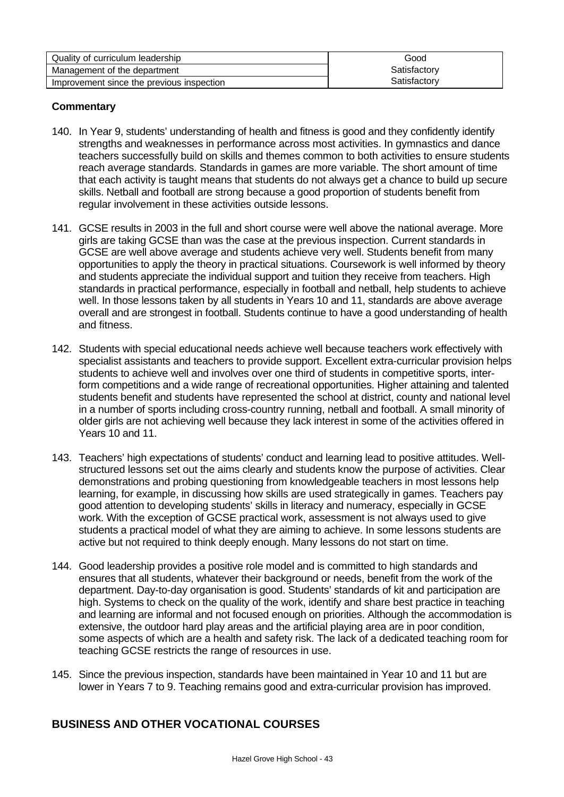| Quality of curriculum leadership          | Good         |
|-------------------------------------------|--------------|
| Management of the department              | Satisfactory |
| Improvement since the previous inspection | Satisfactory |

# **Commentary**

- 140. In Year 9, students' understanding of health and fitness is good and they confidently identify strengths and weaknesses in performance across most activities. In gymnastics and dance teachers successfully build on skills and themes common to both activities to ensure students reach average standards. Standards in games are more variable. The short amount of time that each activity is taught means that students do not always get a chance to build up secure skills. Netball and football are strong because a good proportion of students benefit from regular involvement in these activities outside lessons.
- 141. GCSE results in 2003 in the full and short course were well above the national average. More girls are taking GCSE than was the case at the previous inspection. Current standards in GCSE are well above average and students achieve very well. Students benefit from many opportunities to apply the theory in practical situations. Coursework is well informed by theory and students appreciate the individual support and tuition they receive from teachers. High standards in practical performance, especially in football and netball, help students to achieve well. In those lessons taken by all students in Years 10 and 11, standards are above average overall and are strongest in football. Students continue to have a good understanding of health and fitness.
- 142. Students with special educational needs achieve well because teachers work effectively with specialist assistants and teachers to provide support. Excellent extra-curricular provision helps students to achieve well and involves over one third of students in competitive sports, interform competitions and a wide range of recreational opportunities. Higher attaining and talented students benefit and students have represented the school at district, county and national level in a number of sports including cross-country running, netball and football. A small minority of older girls are not achieving well because they lack interest in some of the activities offered in Years 10 and 11.
- 143. Teachers' high expectations of students' conduct and learning lead to positive attitudes. Wellstructured lessons set out the aims clearly and students know the purpose of activities. Clear demonstrations and probing questioning from knowledgeable teachers in most lessons help learning, for example, in discussing how skills are used strategically in games. Teachers pay good attention to developing students' skills in literacy and numeracy, especially in GCSE work. With the exception of GCSE practical work, assessment is not always used to give students a practical model of what they are aiming to achieve. In some lessons students are active but not required to think deeply enough. Many lessons do not start on time.
- 144. Good leadership provides a positive role model and is committed to high standards and ensures that all students, whatever their background or needs, benefit from the work of the department. Day-to-day organisation is good. Students' standards of kit and participation are high. Systems to check on the quality of the work, identify and share best practice in teaching and learning are informal and not focused enough on priorities. Although the accommodation is extensive, the outdoor hard play areas and the artificial playing area are in poor condition, some aspects of which are a health and safety risk. The lack of a dedicated teaching room for teaching GCSE restricts the range of resources in use.
- 145. Since the previous inspection, standards have been maintained in Year 10 and 11 but are lower in Years 7 to 9. Teaching remains good and extra-curricular provision has improved.

# **BUSINESS AND OTHER VOCATIONAL COURSES**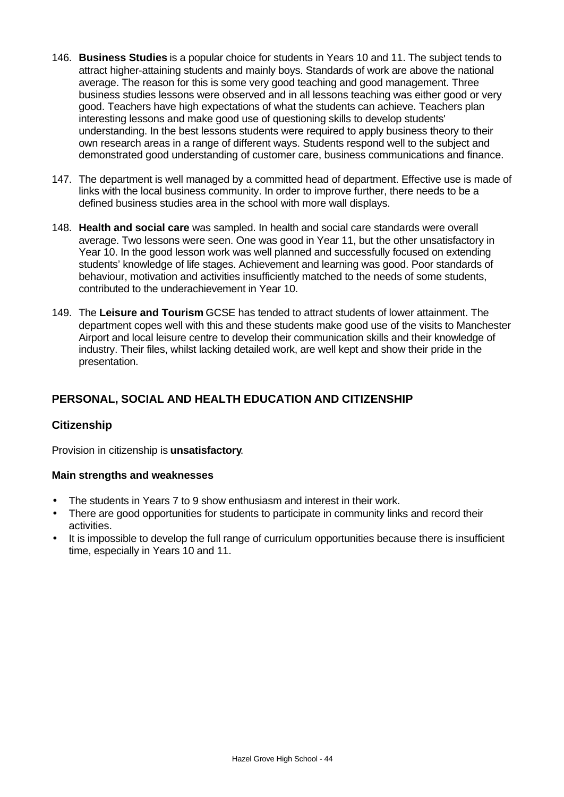- 146. **Business Studies** is a popular choice for students in Years 10 and 11. The subject tends to attract higher-attaining students and mainly boys. Standards of work are above the national average. The reason for this is some very good teaching and good management. Three business studies lessons were observed and in all lessons teaching was either good or very good. Teachers have high expectations of what the students can achieve. Teachers plan interesting lessons and make good use of questioning skills to develop students' understanding. In the best lessons students were required to apply business theory to their own research areas in a range of different ways. Students respond well to the subject and demonstrated good understanding of customer care, business communications and finance.
- 147. The department is well managed by a committed head of department. Effective use is made of links with the local business community. In order to improve further, there needs to be a defined business studies area in the school with more wall displays.
- 148. **Health and social care** was sampled. In health and social care standards were overall average. Two lessons were seen. One was good in Year 11, but the other unsatisfactory in Year 10. In the good lesson work was well planned and successfully focused on extending students' knowledge of life stages. Achievement and learning was good. Poor standards of behaviour, motivation and activities insufficiently matched to the needs of some students, contributed to the underachievement in Year 10.
- 149. The **Leisure and Tourism** GCSE has tended to attract students of lower attainment. The department copes well with this and these students make good use of the visits to Manchester Airport and local leisure centre to develop their communication skills and their knowledge of industry. Their files, whilst lacking detailed work, are well kept and show their pride in the presentation.

# **PERSONAL, SOCIAL AND HEALTH EDUCATION AND CITIZENSHIP**

# **Citizenship**

Provision in citizenship is **unsatisfactory**.

#### **Main strengths and weaknesses**

- The students in Years 7 to 9 show enthusiasm and interest in their work.
- There are good opportunities for students to participate in community links and record their activities.
- It is impossible to develop the full range of curriculum opportunities because there is insufficient time, especially in Years 10 and 11.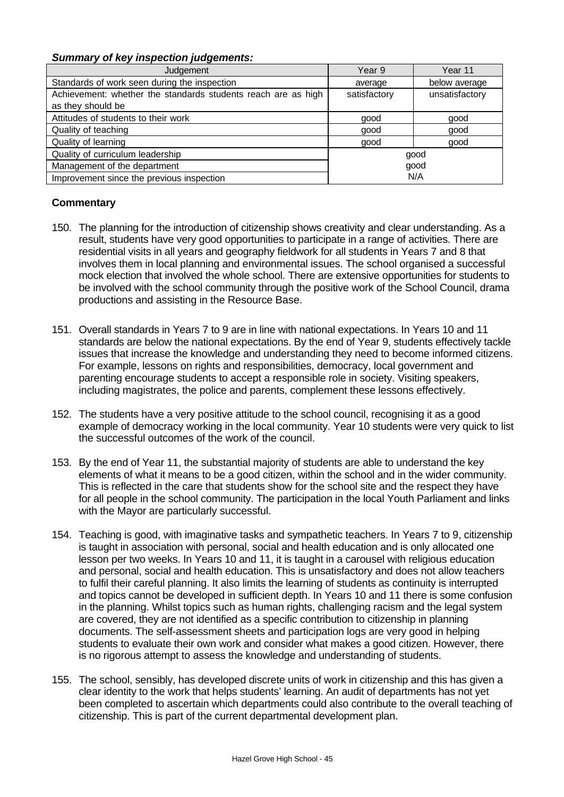#### *Summary of key inspection judgements:*

| Judgement                                                                          | Year 9       | Year 11        |
|------------------------------------------------------------------------------------|--------------|----------------|
| Standards of work seen during the inspection                                       | average      | below average  |
| Achievement: whether the standards students reach are as high<br>as they should be | satisfactory | unsatisfactory |
| Attitudes of students to their work                                                | good         | good           |
| Quality of teaching                                                                | good         | good           |
| Quality of learning                                                                | good         | good           |
| Quality of curriculum leadership                                                   |              | good           |
| Management of the department                                                       | good         |                |
| Improvement since the previous inspection                                          | N/A          |                |

- 150. The planning for the introduction of citizenship shows creativity and clear understanding. As a result, students have very good opportunities to participate in a range of activities. There are residential visits in all years and geography fieldwork for all students in Years 7 and 8 that involves them in local planning and environmental issues. The school organised a successful mock election that involved the whole school. There are extensive opportunities for students to be involved with the school community through the positive work of the School Council, drama productions and assisting in the Resource Base.
- 151. Overall standards in Years 7 to 9 are in line with national expectations. In Years 10 and 11 standards are below the national expectations. By the end of Year 9, students effectively tackle issues that increase the knowledge and understanding they need to become informed citizens. For example, lessons on rights and responsibilities, democracy, local government and parenting encourage students to accept a responsible role in society. Visiting speakers, including magistrates, the police and parents, complement these lessons effectively.
- 152. The students have a very positive attitude to the school council, recognising it as a good example of democracy working in the local community. Year 10 students were very quick to list the successful outcomes of the work of the council.
- 153. By the end of Year 11, the substantial majority of students are able to understand the key elements of what it means to be a good citizen, within the school and in the wider community. This is reflected in the care that students show for the school site and the respect they have for all people in the school community. The participation in the local Youth Parliament and links with the Mayor are particularly successful.
- 154. Teaching is good, with imaginative tasks and sympathetic teachers. In Years 7 to 9, citizenship is taught in association with personal, social and health education and is only allocated one lesson per two weeks. In Years 10 and 11, it is taught in a carousel with religious education and personal, social and health education. This is unsatisfactory and does not allow teachers to fulfil their careful planning. It also limits the learning of students as continuity is interrupted and topics cannot be developed in sufficient depth. In Years 10 and 11 there is some confusion in the planning. Whilst topics such as human rights, challenging racism and the legal system are covered, they are not identified as a specific contribution to citizenship in planning documents. The self-assessment sheets and participation logs are very good in helping students to evaluate their own work and consider what makes a good citizen. However, there is no rigorous attempt to assess the knowledge and understanding of students.
- 155. The school, sensibly, has developed discrete units of work in citizenship and this has given a clear identity to the work that helps students' learning. An audit of departments has not yet been completed to ascertain which departments could also contribute to the overall teaching of citizenship. This is part of the current departmental development plan.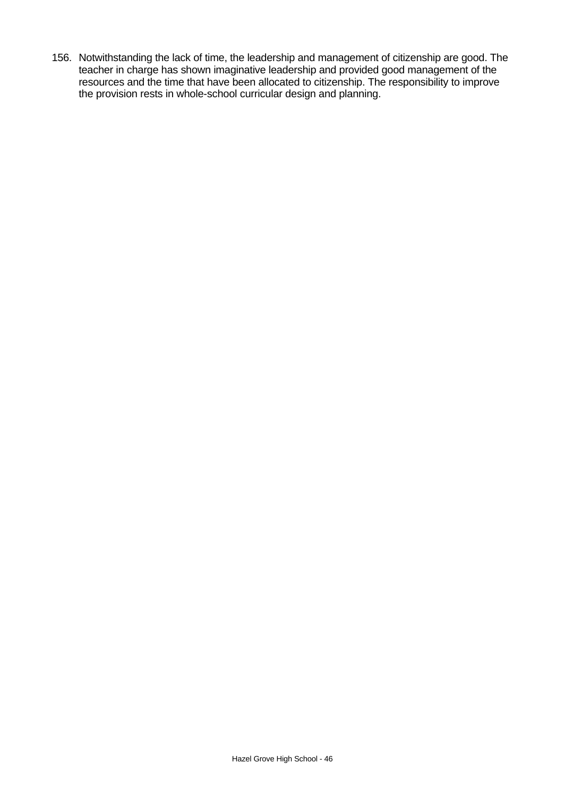156. Notwithstanding the lack of time, the leadership and management of citizenship are good. The teacher in charge has shown imaginative leadership and provided good management of the resources and the time that have been allocated to citizenship. The responsibility to improve the provision rests in whole-school curricular design and planning.